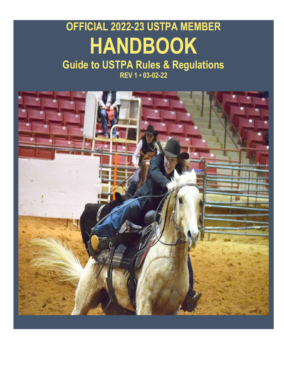# **OFFICIAL 2022-23 USTPA MEMBER HANDBOOK**

#### **Guide to USTPA Rules & Regulations REV 1 • 03-02-22**

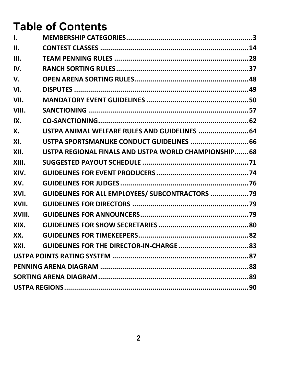# **Table of Contents**

| 1.     |                                                       |  |  |
|--------|-------------------------------------------------------|--|--|
| Ш.     |                                                       |  |  |
| Ш.     |                                                       |  |  |
| IV.    |                                                       |  |  |
| V.     |                                                       |  |  |
| VI.    |                                                       |  |  |
| VII.   |                                                       |  |  |
| VIII.  |                                                       |  |  |
| IX.    |                                                       |  |  |
| X.     | USTPA ANIMAL WELFARE RULES AND GUIDELINES  64         |  |  |
| XI.    | USTPA SPORTSMANLIKE CONDUCT GUIDELINES  66            |  |  |
| XII.   | USTPA REGIONAL FINALS AND USTPA WORLD CHAMPIONSHIP 68 |  |  |
| XIII.  |                                                       |  |  |
| XIV.   |                                                       |  |  |
| XV.    |                                                       |  |  |
| XVI.   | GUIDELINES FOR ALL EMPLOYEES/ SUBCONTRACTORS  79      |  |  |
| XVII.  |                                                       |  |  |
| XVIII. |                                                       |  |  |
| XIX.   |                                                       |  |  |
| XX.    |                                                       |  |  |
| XXI.   |                                                       |  |  |
|        |                                                       |  |  |
|        |                                                       |  |  |
|        |                                                       |  |  |
|        |                                                       |  |  |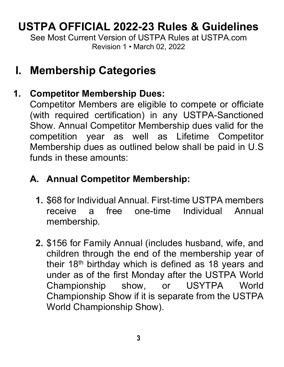# **USTPA OFFICIAL 2022-23 Rules & Guidelines**

<span id="page-2-0"></span>See Most Current Version of USTPA Rules at USTPA com Revision 1 • March 02, 2022

# **I. Membership Categories**

# **1. Competitor Membership Dues:**

Competitor Members are eligible to compete or officiate (with required certification) in any USTPA-Sanctioned Show. Annual Competitor Membership dues valid for the competition year as well as Lifetime Competitor Membership dues as outlined below shall be paid in U.S funds in these amounts:

## **A. Annual Competitor Membership:**

- **1.** \$68 for Individual Annual. First-time USTPA members a free one-time Individual Annual membership.
- **2.** \$156 for Family Annual (includes husband, wife, and children through the end of the membership year of their  $18<sup>th</sup>$  birthday which is defined as 18 years and under as of the first Monday after the USTPA World Championship show, or USYTPA World Championship Show if it is separate from the USTPA World Championship Show).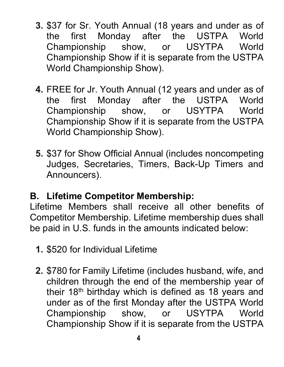- **3.** \$37 for Sr. Youth Annual (18 years and under as of the first Monday after the USTPA World Championship show, or USYTPA World Championship Show if it is separate from the USTPA World Championship Show).
- **4.** FREE for Jr. Youth Annual (12 years and under as of the first Monday after the USTPA World Championship show, or USYTPA World Championship Show if it is separate from the USTPA World Championship Show).
- **5.** \$37 for Show Official Annual (includes noncompeting Judges, Secretaries, Timers, Back-Up Timers and Announcers).

## **B. Lifetime Competitor Membership:**

Lifetime Members shall receive all other benefits of Competitor Membership. Lifetime membership dues shall be paid in U.S. funds in the amounts indicated below:

- **1.** \$520 for Individual Lifetime
- **2.** \$780 for Family Lifetime (includes husband, wife, and children through the end of the membership year of their 18th birthday which is defined as 18 years and under as of the first Monday after the USTPA World show, or USYTPA World Championship Show if it is separate from the USTPA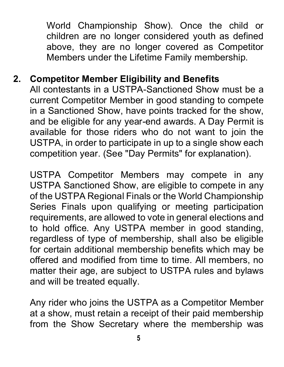World Championship Show). Once the child or children are no longer considered youth as defined above, they are no longer covered as Competitor Members under the Lifetime Family membership.

#### **2. Competitor Member Eligibility and Benefits**

All contestants in a USTPA-Sanctioned Show must be a current Competitor Member in good standing to compete in a Sanctioned Show, have points tracked for the show, and be eligible for any year-end awards. A Day Permit is available for those riders who do not want to join the USTPA, in order to participate in up to a single show each competition year. (See "Day Permits" for explanation).

USTPA Competitor Members may compete in any USTPA Sanctioned Show, are eligible to compete in any of the USTPA Regional Finals or the World Championship Series Finals upon qualifying or meeting participation requirements, are allowed to vote in general elections and to hold office. Any USTPA member in good standing, regardless of type of membership, shall also be eligible for certain additional membership benefits which may be offered and modified from time to time. All members, no matter their age, are subject to USTPA rules and bylaws and will be treated equally.

Any rider who joins the USTPA as a Competitor Member at a show, must retain a receipt of their paid membership from the Show Secretary where the membership was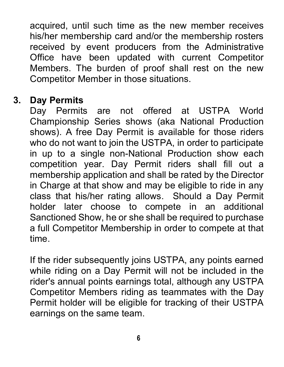acquired, until such time as the new member receives his/her membership card and/or the membership rosters received by event producers from the Administrative Office have been updated with current Competitor Members. The burden of proof shall rest on the new Competitor Member in those situations.

#### **3. Day Permits**

Day Permits are not offered at USTPA World Championship Series shows (aka National Production shows). A free Day Permit is available for those riders who do not want to join the USTPA, in order to participate in up to a single non-National Production show each competition year. Day Permit riders shall fill out a membership application and shall be rated by the Director in Charge at that show and may be eligible to ride in any class that his/her rating allows. Should a Day Permit holder later choose to compete in an additional Sanctioned Show, he or she shall be required to purchase a full Competitor Membership in order to compete at that time.

If the rider subsequently joins USTPA, any points earned while riding on a Day Permit will not be included in the rider's annual points earnings total, although any USTPA Competitor Members riding as teammates with the Day Permit holder will be eligible for tracking of their USTPA earnings on the same team.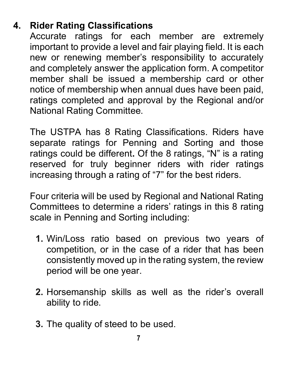# **4. Rider Rating Classifications**

Accurate ratings for each member are extremely important to provide a level and fair playing field. It is each new or renewing member's responsibility to accurately and completely answer the application form. A competitor member shall be issued a membership card or other notice of membership when annual dues have been paid, ratings completed and approval by the Regional and/or National Rating Committee.

The USTPA has 8 Rating Classifications. Riders have separate ratings for Penning and Sorting and those ratings could be different**.** Of the 8 ratings, "N" is a rating reserved for truly beginner riders with rider ratings increasing through a rating of "7" for the best riders.

Four criteria will be used by Regional and National Rating Committees to determine a riders' ratings in this 8 rating scale in Penning and Sorting including:

- **1.** Win/Loss ratio based on previous two years of competition, or in the case of a rider that has been consistently moved up in the rating system, the review period will be one year.
- **2.** Horsemanship skills as well as the rider's overall ability to ride.
- **3.** The quality of steed to be used.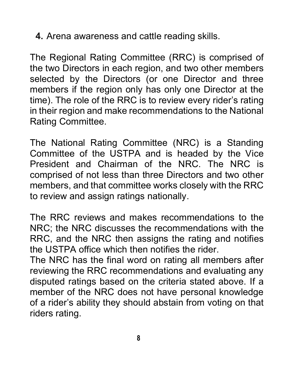**4.** Arena awareness and cattle reading skills.

The Regional Rating Committee (RRC) is comprised of the two Directors in each region, and two other members selected by the Directors (or one Director and three members if the region only has only one Director at the time). The role of the RRC is to review every rider's rating in their region and make recommendations to the National Rating Committee.

The National Rating Committee (NRC) is a Standing Committee of the USTPA and is headed by the Vice President and Chairman of the NRC. The NRC is comprised of not less than three Directors and two other members, and that committee works closely with the RRC to review and assign ratings nationally.

The RRC reviews and makes recommendations to the NRC; the NRC discusses the recommendations with the RRC, and the NRC then assigns the rating and notifies the USTPA office which then notifies the rider.

The NRC has the final word on rating all members after reviewing the RRC recommendations and evaluating any disputed ratings based on the criteria stated above. If a member of the NRC does not have personal knowledge of a rider's ability they should abstain from voting on that riders rating.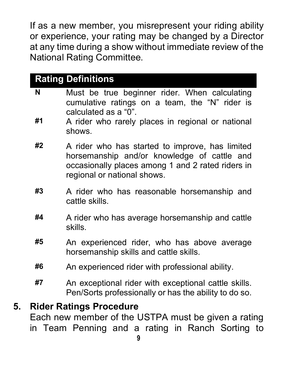If as a new member, you misrepresent your riding ability or experience, your rating may be changed by a Director at any time during a show without immediate review of the National Rating Committee.

|         | <b>Rating Definitions</b>                                                                                                                                                              |
|---------|----------------------------------------------------------------------------------------------------------------------------------------------------------------------------------------|
| N<br>#1 | Must be true beginner rider. When calculating<br>cumulative ratings on a team, the "N" rider is<br>calculated as a "0".<br>A rider who rarely places in regional or national<br>shows. |
| #2      | A rider who has started to improve, has limited<br>horsemanship and/or knowledge of cattle and<br>occasionally places among 1 and 2 rated riders in<br>regional or national shows.     |
| #3      | A rider who has reasonable horsemanship and<br>cattle skills.                                                                                                                          |
| #4      | A rider who has average horsemanship and cattle<br>skills.                                                                                                                             |
| #5      | An experienced rider, who has above average<br>horsemanship skills and cattle skills.                                                                                                  |
| #6      | An experienced rider with professional ability.                                                                                                                                        |
| #7      | An exceptional rider with exceptional cattle skills.<br>Pen/Sorts professionally or has the ability to do so.                                                                          |
| 5.      | <b>Rider Ratings Procedure</b>                                                                                                                                                         |

Each new member of the USTPA must be given a rating in Team Penning and a rating in Ranch Sorting to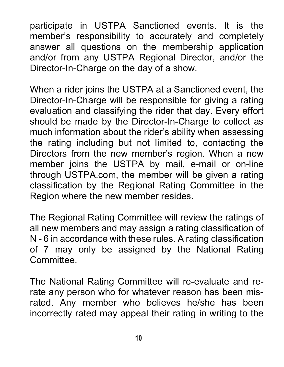participate in USTPA Sanctioned events. It is the member's responsibility to accurately and completely answer all questions on the membership application and/or from any USTPA Regional Director, and/or the Director-In-Charge on the day of a show.

When a rider joins the USTPA at a Sanctioned event, the Director-In-Charge will be responsible for giving a rating evaluation and classifying the rider that day. Every effort should be made by the Director-In-Charge to collect as much information about the rider's ability when assessing the rating including but not limited to, contacting the Directors from the new member's region. When a new member joins the USTPA by mail, e-mail or on-line through USTPA.com, the member will be given a rating classification by the Regional Rating Committee in the Region where the new member resides.

The Regional Rating Committee will review the ratings of all new members and may assign a rating classification of N - 6 in accordance with these rules. A rating classification of 7 may only be assigned by the National Rating **Committee.** 

The National Rating Committee will re-evaluate and rerate any person who for whatever reason has been misrated. Any member who believes he/she has been incorrectly rated may appeal their rating in writing to the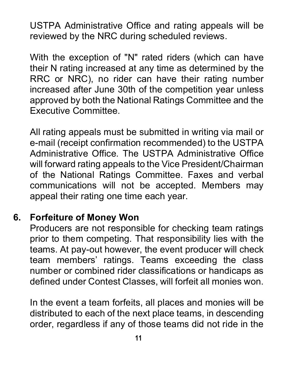USTPA Administrative Office and rating appeals will be reviewed by the NRC during scheduled reviews.

With the exception of "N" rated riders (which can have their N rating increased at any time as determined by the RRC or NRC), no rider can have their rating number increased after June 30th of the competition year unless approved by both the National Ratings Committee and the Executive Committee.

All rating appeals must be submitted in writing via mail or e-mail (receipt confirmation recommended) to the USTPA Administrative Office. The USTPA Administrative Office will forward rating appeals to the Vice President/Chairman of the National Ratings Committee. Faxes and verbal communications will not be accepted. Members may appeal their rating one time each year.

## **6. Forfeiture of Money Won**

Producers are not responsible for checking team ratings prior to them competing. That responsibility lies with the teams. At pay-out however, the event producer will check team members' ratings. Teams exceeding the class number or combined rider classifications or handicaps as defined under Contest Classes, will forfeit all monies won.

In the event a team forfeits, all places and monies will be distributed to each of the next place teams, in descending order, regardless if any of those teams did not ride in the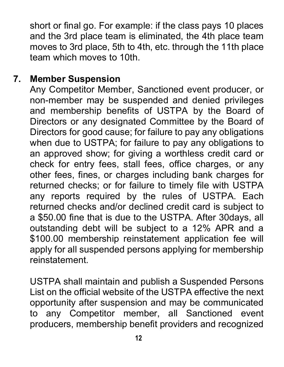short or final go. For example: if the class pays 10 places and the 3rd place team is eliminated, the 4th place team moves to 3rd place, 5th to 4th, etc. through the 11th place team which moves to 10th.

#### **7. Member Suspension**

Any Competitor Member, Sanctioned event producer, or non-member may be suspended and denied privileges and membership benefits of USTPA by the Board of Directors or any designated Committee by the Board of Directors for good cause; for failure to pay any obligations when due to USTPA; for failure to pay any obligations to an approved show; for giving a worthless credit card or check for entry fees, stall fees, office charges, or any other fees, fines, or charges including bank charges for returned checks; or for failure to timely file with USTPA any reports required by the rules of USTPA. Each returned checks and/or declined credit card is subject to a \$50.00 fine that is due to the USTPA. After 30days, all outstanding debt will be subject to a 12% APR and a \$100.00 membership reinstatement application fee will apply for all suspended persons applying for membership reinstatement.

USTPA shall maintain and publish a Suspended Persons List on the official website of the USTPA effective the next opportunity after suspension and may be communicated to any Competitor member, all Sanctioned event producers, membership benefit providers and recognized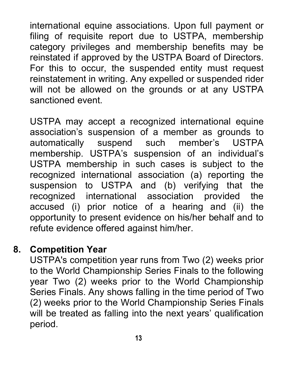international equine associations. Upon full payment or filing of requisite report due to USTPA, membership category privileges and membership benefits may be reinstated if approved by the USTPA Board of Directors. For this to occur, the suspended entity must request reinstatement in writing. Any expelled or suspended rider will not be allowed on the grounds or at any USTPA sanctioned event.

USTPA may accept a recognized international equine association's suspension of a member as grounds to automatically suspend such member's USTPA membership. USTPA's suspension of an individual's USTPA membership in such cases is subject to the recognized international association (a) reporting the suspension to USTPA and (b) verifying that the recognized international association provided the accused (i) prior notice of a hearing and (ii) the opportunity to present evidence on his/her behalf and to refute evidence offered against him/her.

#### **8. Competition Year**

USTPA's competition year runs from Two (2) weeks prior to the World Championship Series Finals to the following year Two (2) weeks prior to the World Championship Series Finals. Any shows falling in the time period of Two (2) weeks prior to the World Championship Series Finals will be treated as falling into the next years' qualification period.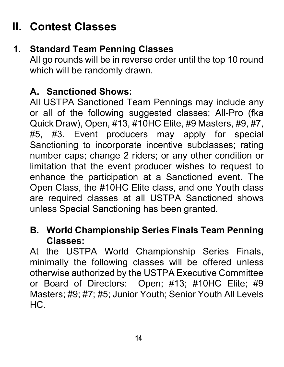# <span id="page-13-0"></span>**II. Contest Classes**

# **1. Standard Team Penning Classes**

All go rounds will be in reverse order until the top 10 round which will be randomly drawn.

#### **A. Sanctioned Shows:**

All USTPA Sanctioned Team Pennings may include any or all of the following suggested classes; All-Pro (fka Quick Draw), Open, #13, #10HC Elite, #9 Masters, #9, #7, #5, #3. Event producers may apply for special Sanctioning to incorporate incentive subclasses; rating number caps; change 2 riders; or any other condition or limitation that the event producer wishes to request to enhance the participation at a Sanctioned event. The Open Class, the #10HC Elite class, and one Youth class are required classes at all USTPA Sanctioned shows unless Special Sanctioning has been granted.

#### **B. World Championship Series Finals Team Penning Classes:**

At the USTPA World Championship Series Finals, minimally the following classes will be offered unless otherwise authorized by the USTPA Executive Committee or Board of Directors: Open; #13; #10HC Elite; #9 Masters; #9; #7; #5; Junior Youth; Senior Youth All Levels HC.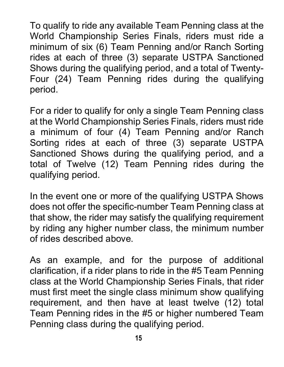To qualify to ride any available Team Penning class at the World Championship Series Finals, riders must ride a minimum of six (6) Team Penning and/or Ranch Sorting rides at each of three (3) separate USTPA Sanctioned Shows during the qualifying period, and a total of Twenty-Four (24) Team Penning rides during the qualifying period.

For a rider to qualify for only a single Team Penning class at the World Championship Series Finals, riders must ride a minimum of four (4) Team Penning and/or Ranch Sorting rides at each of three (3) separate USTPA Sanctioned Shows during the qualifying period, and a total of Twelve (12) Team Penning rides during the qualifying period.

In the event one or more of the qualifying USTPA Shows does not offer the specific-number Team Penning class at that show, the rider may satisfy the qualifying requirement by riding any higher number class, the minimum number of rides described above.

As an example, and for the purpose of additional clarification, if a rider plans to ride in the #5 Team Penning class at the World Championship Series Finals, that rider must first meet the single class minimum show qualifying requirement, and then have at least twelve (12) total Team Penning rides in the #5 or higher numbered Team Penning class during the qualifying period.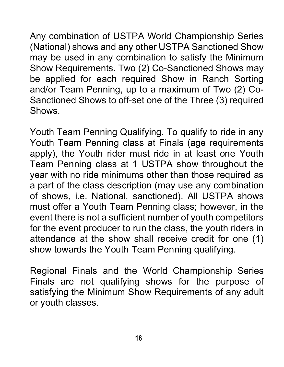Any combination of USTPA World Championship Series (National) shows and any other USTPA Sanctioned Show may be used in any combination to satisfy the Minimum Show Requirements. Two (2) Co-Sanctioned Shows may be applied for each required Show in Ranch Sorting and/or Team Penning, up to a maximum of Two (2) Co-Sanctioned Shows to off-set one of the Three (3) required **Shows** 

Youth Team Penning Qualifying. To qualify to ride in any Youth Team Penning class at Finals (age requirements apply), the Youth rider must ride in at least one Youth Team Penning class at 1 USTPA show throughout the year with no ride minimums other than those required as a part of the class description (may use any combination of shows, i.e. National, sanctioned). All USTPA shows must offer a Youth Team Penning class; however, in the event there is not a sufficient number of youth competitors for the event producer to run the class, the youth riders in attendance at the show shall receive credit for one (1) show towards the Youth Team Penning qualifying.

Regional Finals and the World Championship Series Finals are not qualifying shows for the purpose of satisfying the Minimum Show Requirements of any adult or youth classes.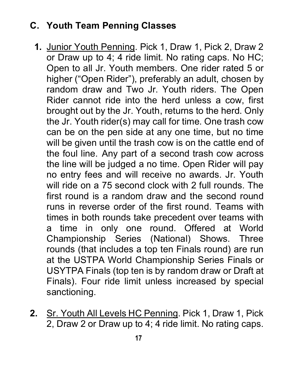# **C. Youth Team Penning Classes**

- **1.** Junior Youth Penning. Pick 1, Draw 1, Pick 2, Draw 2 or Draw up to 4; 4 ride limit. No rating caps. No HC; Open to all Jr. Youth members. One rider rated 5 or higher ("Open Rider"), preferably an adult, chosen by random draw and Two Jr. Youth riders. The Open Rider cannot ride into the herd unless a cow, first brought out by the Jr. Youth, returns to the herd. Only the Jr. Youth rider(s) may call for time. One trash cow can be on the pen side at any one time, but no time will be given until the trash cow is on the cattle end of the foul line. Any part of a second trash cow across the line will be judged a no time. Open Rider will pay no entry fees and will receive no awards. Jr. Youth will ride on a 75 second clock with 2 full rounds. The first round is a random draw and the second round runs in reverse order of the first round. Teams with times in both rounds take precedent over teams with a time in only one round. Offered at World Championship Series (National) Shows. Three rounds (that includes a top ten Finals round) are run at the USTPA World Championship Series Finals or USYTPA Finals (top ten is by random draw or Draft at Finals). Four ride limit unless increased by special sanctioning.
- **2.** Sr. Youth All Levels HC Penning. Pick 1, Draw 1, Pick 2, Draw 2 or Draw up to 4; 4 ride limit. No rating caps.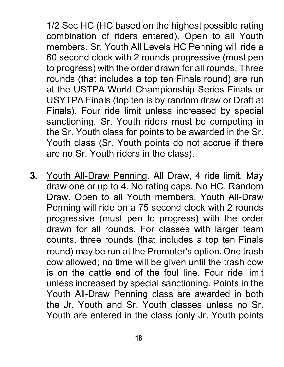1/2 Sec HC (HC based on the highest possible rating combination of riders entered). Open to all Youth members. Sr. Youth All Levels HC Penning will ride a 60 second clock with 2 rounds progressive (must pen to progress) with the order drawn for all rounds. Three rounds (that includes a top ten Finals round) are run at the USTPA World Championship Series Finals or USYTPA Finals (top ten is by random draw or Draft at Finals). Four ride limit unless increased by special sanctioning. Sr. Youth riders must be competing in the Sr. Youth class for points to be awarded in the Sr. Youth class (Sr. Youth points do not accrue if there are no Sr. Youth riders in the class).

**3.** Youth All-Draw Penning. All Draw, 4 ride limit. May draw one or up to 4. No rating caps. No HC. Random Draw. Open to all Youth members. Youth All-Draw Penning will ride on a 75 second clock with 2 rounds progressive (must pen to progress) with the order drawn for all rounds. For classes with larger team counts, three rounds (that includes a top ten Finals round) may be run at the Promoter's option. One trash cow allowed; no time will be given until the trash cow is on the cattle end of the foul line. Four ride limit unless increased by special sanctioning. Points in the Youth All-Draw Penning class are awarded in both the Jr. Youth and Sr. Youth classes unless no Sr. Youth are entered in the class (only Jr. Youth points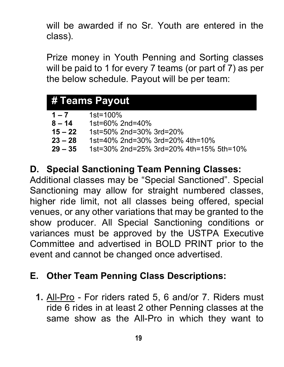will be awarded if no Sr. Youth are entered in the class).

Prize money in Youth Penning and Sorting classes will be paid to 1 for every 7 teams (or part of 7) as per the below schedule. Payout will be per team:

| # Teams Payout |                                         |  |  |  |
|----------------|-----------------------------------------|--|--|--|
|                |                                         |  |  |  |
| $1 - 7$        | $1st = 100%$                            |  |  |  |
| $8 - 14$       | 1st=60% 2nd=40%                         |  |  |  |
| $15 - 22$      | 1st=50% 2nd=30% 3rd=20%                 |  |  |  |
| $23 - 28$      | 1st=40% 2nd=30% 3rd=20% 4th=10%         |  |  |  |
| $29 - 35$      | 1st=30% 2nd=25% 3rd=20% 4th=15% 5th=10% |  |  |  |

#### **D. Special Sanctioning Team Penning Classes:**

Additional classes may be "Special Sanctioned". Special Sanctioning may allow for straight numbered classes, higher ride limit, not all classes being offered, special venues, or any other variations that may be granted to the show producer. All Special Sanctioning conditions or variances must be approved by the USTPA Executive Committee and advertised in BOLD PRINT prior to the event and cannot be changed once advertised.

#### **E. Other Team Penning Class Descriptions:**

**1.** All-Pro - For riders rated 5, 6 and/or 7. Riders must ride 6 rides in at least 2 other Penning classes at the same show as the All-Pro in which they want to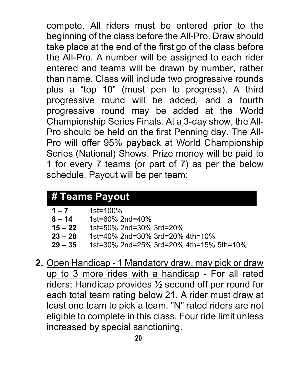compete. All riders must be entered prior to the beginning of the class before the All-Pro. Draw should take place at the end of the first go of the class before the All-Pro. A number will be assigned to each rider entered and teams will be drawn by number, rather than name. Class will include two progressive rounds plus a "top 10" (must pen to progress). A third progressive round will be added, and a fourth progressive round may be added at the World Championship Series Finals. At a 3-day show, the All-Pro should be held on the first Penning day. The All-Pro will offer 95% payback at World Championship Series (National) Shows. Prize money will be paid to 1 for every 7 teams (or part of 7) as per the below schedule. Payout will be per team:

# **# Teams Payout**

| $1 - 7$   | $1st = 100%$                            |
|-----------|-----------------------------------------|
| $8 - 14$  | 1st=60% 2nd=40%                         |
| $15 - 22$ | 1st=50% 2nd=30% 3rd=20%                 |
| $23 - 28$ | 1st=40% 2nd=30% 3rd=20% 4th=10%         |
| $29 - 35$ | 1st=30% 2nd=25% 3rd=20% 4th=15% 5th=10% |

**2.** Open Handicap - 1 Mandatory draw, may pick or draw up to 3 more rides with a handicap - For all rated riders; Handicap provides ½ second off per round for each total team rating below 21. A rider must draw at least one team to pick a team. "N" rated riders are not eligible to complete in this class. Four ride limit unless increased by special sanctioning.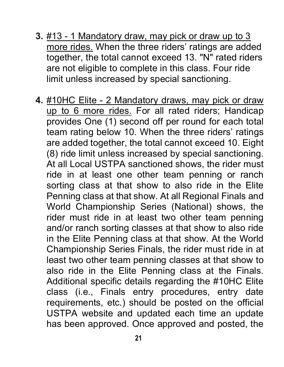- **3.** #13 1 Mandatory draw, may pick or draw up to 3 more rides. When the three riders' ratings are added together, the total cannot exceed 13. "N" rated riders are not eligible to complete in this class. Four ride limit unless increased by special sanctioning.
- **4.** #10HC Elite 2 Mandatory draws, may pick or draw up to 6 more rides. For all rated riders; Handicap provides One (1) second off per round for each total team rating below 10. When the three riders' ratings are added together, the total cannot exceed 10. Eight (8) ride limit unless increased by special sanctioning. At all Local USTPA sanctioned shows, the rider must ride in at least one other team penning or ranch sorting class at that show to also ride in the Elite Penning class at that show. At all Regional Finals and World Championship Series (National) shows, the rider must ride in at least two other team penning and/or ranch sorting classes at that show to also ride in the Elite Penning class at that show. At the World Championship Series Finals, the rider must ride in at least two other team penning classes at that show to also ride in the Elite Penning class at the Finals. Additional specific details regarding the #10HC Elite class (i.e., Finals entry procedures, entry date requirements, etc.) should be posted on the official USTPA website and updated each time an update has been approved. Once approved and posted, the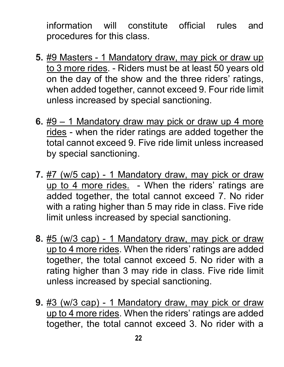information will constitute official rules and procedures for this class.

- **5.** #9 Masters 1 Mandatory draw, may pick or draw up to 3 more rides. - Riders must be at least 50 years old on the day of the show and the three riders' ratings, when added together, cannot exceed 9. Four ride limit unless increased by special sanctioning.
- **6.** #9 1 Mandatory draw may pick or draw up 4 more rides - when the rider ratings are added together the total cannot exceed 9. Five ride limit unless increased by special sanctioning.
- **7.** #7 (w/5 cap) 1 Mandatory draw, may pick or draw up to 4 more rides. - When the riders' ratings are added together, the total cannot exceed 7. No rider with a rating higher than 5 may ride in class. Five ride limit unless increased by special sanctioning.
- **8.** #5 (w/3 cap) 1 Mandatory draw, may pick or draw up to 4 more rides. When the riders' ratings are added together, the total cannot exceed 5. No rider with a rating higher than 3 may ride in class. Five ride limit unless increased by special sanctioning.
- **9.** #3 (w/3 cap) 1 Mandatory draw, may pick or draw up to 4 more rides. When the riders' ratings are added together, the total cannot exceed 3. No rider with a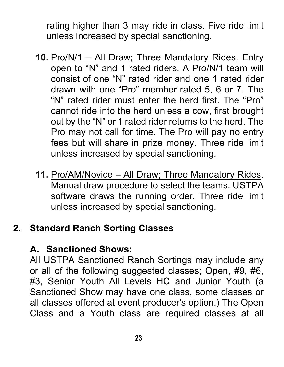rating higher than 3 may ride in class. Five ride limit unless increased by special sanctioning.

- **10.** Pro/N/1 All Draw; Three Mandatory Rides. Entry open to "N" and 1 rated riders. A Pro/N/1 team will consist of one "N" rated rider and one 1 rated rider drawn with one "Pro" member rated 5, 6 or 7. The "N" rated rider must enter the herd first. The "Pro" cannot ride into the herd unless a cow, first brought out by the "N" or 1 rated rider returns to the herd. The Pro may not call for time. The Pro will pay no entry fees but will share in prize money. Three ride limit unless increased by special sanctioning.
- **11.** Pro/AM/Novice All Draw; Three Mandatory Rides. Manual draw procedure to select the teams. USTPA software draws the running order. Three ride limit unless increased by special sanctioning.

# **2. Standard Ranch Sorting Classes**

#### **A. Sanctioned Shows:**

All USTPA Sanctioned Ranch Sortings may include any or all of the following suggested classes; Open, #9, #6, #3, Senior Youth All Levels HC and Junior Youth (a Sanctioned Show may have one class, some classes or all classes offered at event producer's option.) The Open Class and a Youth class are required classes at all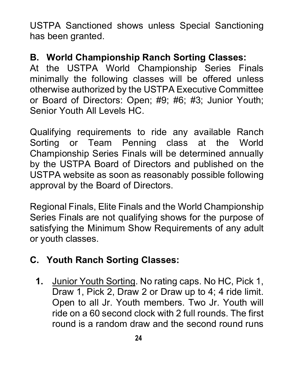USTPA Sanctioned shows unless Special Sanctioning has been granted.

## **B. World Championship Ranch Sorting Classes:**

At the USTPA World Championship Series Finals minimally the following classes will be offered unless otherwise authorized by the USTPA Executive Committee or Board of Directors: Open; #9; #6; #3; Junior Youth; Senior Youth All Levels HC.

Qualifying requirements to ride any available Ranch Sorting or Team Penning class at the World Championship Series Finals will be determined annually by the USTPA Board of Directors and published on the USTPA website as soon as reasonably possible following approval by the Board of Directors.

Regional Finals, Elite Finals and the World Championship Series Finals are not qualifying shows for the purpose of satisfying the Minimum Show Requirements of any adult or youth classes.

# **C. Youth Ranch Sorting Classes:**

**1.** Junior Youth Sorting. No rating caps. No HC, Pick 1, Draw 1, Pick 2, Draw 2 or Draw up to 4; 4 ride limit. Open to all Jr. Youth members. Two Jr. Youth will ride on a 60 second clock with 2 full rounds. The first round is a random draw and the second round runs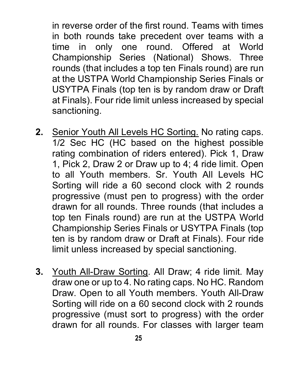in reverse order of the first round. Teams with times in both rounds take precedent over teams with a time in only one round. Offered at World Championship Series (National) Shows. Three rounds (that includes a top ten Finals round) are run at the USTPA World Championship Series Finals or USYTPA Finals (top ten is by random draw or Draft at Finals). Four ride limit unless increased by special sanctioning.

- **2.** Senior Youth All Levels HC Sorting. No rating caps. 1/2 Sec HC (HC based on the highest possible rating combination of riders entered). Pick 1, Draw 1, Pick 2, Draw 2 or Draw up to 4; 4 ride limit. Open to all Youth members. Sr. Youth All Levels HC Sorting will ride a 60 second clock with 2 rounds progressive (must pen to progress) with the order drawn for all rounds. Three rounds (that includes a top ten Finals round) are run at the USTPA World Championship Series Finals or USYTPA Finals (top ten is by random draw or Draft at Finals). Four ride limit unless increased by special sanctioning.
- **3.** Youth All-Draw Sorting. All Draw; 4 ride limit. May draw one or up to 4. No rating caps. No HC. Random Draw. Open to all Youth members. Youth All-Draw Sorting will ride on a 60 second clock with 2 rounds progressive (must sort to progress) with the order drawn for all rounds. For classes with larger team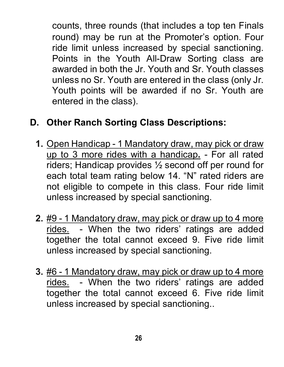counts, three rounds (that includes a top ten Finals round) may be run at the Promoter's option. Four ride limit unless increased by special sanctioning. Points in the Youth All-Draw Sorting class are awarded in both the Jr. Youth and Sr. Youth classes unless no Sr. Youth are entered in the class (only Jr. Youth points will be awarded if no Sr. Youth are entered in the class).

# **D. Other Ranch Sorting Class Descriptions:**

- **1.** Open Handicap 1 Mandatory draw, may pick or draw up to 3 more rides with a handicap**.** - For all rated riders; Handicap provides ½ second off per round for each total team rating below 14. "N" rated riders are not eligible to compete in this class. Four ride limit unless increased by special sanctioning.
- **2.** #9 1 Mandatory draw, may pick or draw up to 4 more rides. - When the two riders' ratings are added together the total cannot exceed 9. Five ride limit unless increased by special sanctioning.
- **3.** #6 1 Mandatory draw, may pick or draw up to 4 more rides. - When the two riders' ratings are added together the total cannot exceed 6. Five ride limit unless increased by special sanctioning..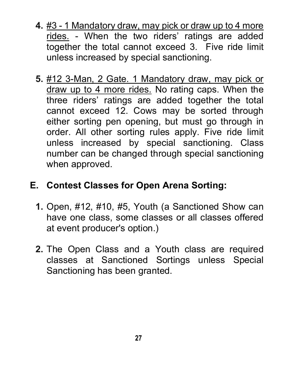- **4.** #3 1 Mandatory draw, may pick or draw up to 4 more rides. - When the two riders' ratings are added together the total cannot exceed 3. Five ride limit unless increased by special sanctioning.
- **5.** #12 3-Man, 2 Gate. 1 Mandatory draw, may pick or draw up to 4 more rides. No rating caps. When the three riders' ratings are added together the total cannot exceed 12. Cows may be sorted through either sorting pen opening, but must go through in order. All other sorting rules apply. Five ride limit unless increased by special sanctioning. Class number can be changed through special sanctioning when approved.

## **E. Contest Classes for Open Arena Sorting:**

- **1.** Open, #12, #10, #5, Youth (a Sanctioned Show can have one class, some classes or all classes offered at event producer's option.)
- <span id="page-26-0"></span>**2.** The Open Class and a Youth class are required classes at Sanctioned Sortings unless Special Sanctioning has been granted.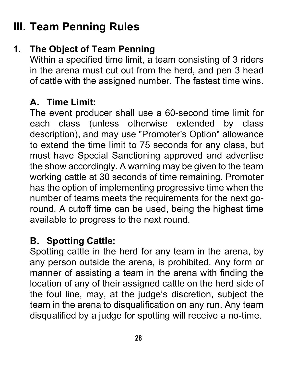# **III. Team Penning Rules**

# **1. The Object of Team Penning**

Within a specified time limit, a team consisting of 3 riders in the arena must cut out from the herd, and pen 3 head of cattle with the assigned number. The fastest time wins.

#### **A. Time Limit:**

The event producer shall use a 60-second time limit for each class (unless otherwise extended by class description), and may use "Promoter's Option" allowance to extend the time limit to 75 seconds for any class, but must have Special Sanctioning approved and advertise the show accordingly. A warning may be given to the team working cattle at 30 seconds of time remaining. Promoter has the option of implementing progressive time when the number of teams meets the requirements for the next goround. A cutoff time can be used, being the highest time available to progress to the next round.

#### **B. Spotting Cattle:**

Spotting cattle in the herd for any team in the arena, by any person outside the arena, is prohibited. Any form or manner of assisting a team in the arena with finding the location of any of their assigned cattle on the herd side of the foul line, may, at the judge's discretion, subject the team in the arena to disqualification on any run. Any team disqualified by a judge for spotting will receive a no-time.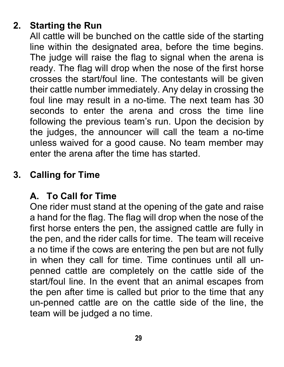# **2. Starting the Run**

All cattle will be bunched on the cattle side of the starting line within the designated area, before the time begins. The judge will raise the flag to signal when the arena is ready. The flag will drop when the nose of the first horse crosses the start/foul line. The contestants will be given their cattle number immediately. Any delay in crossing the foul line may result in a no-time. The next team has 30 seconds to enter the arena and cross the time line following the previous team's run. Upon the decision by the judges, the announcer will call the team a no-time unless waived for a good cause. No team member may enter the arena after the time has started.

# **3. Calling for Time**

## **A. To Call for Time**

One rider must stand at the opening of the gate and raise a hand for the flag. The flag will drop when the nose of the first horse enters the pen, the assigned cattle are fully in the pen, and the rider calls for time. The team will receive a no time if the cows are entering the pen but are not fully in when they call for time. Time continues until all unpenned cattle are completely on the cattle side of the start/foul line. In the event that an animal escapes from the pen after time is called but prior to the time that any un-penned cattle are on the cattle side of the line, the team will be judged a no time.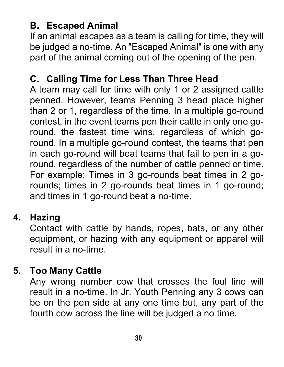# **B. Escaped Animal**

If an animal escapes as a team is calling for time, they will be judged a no-time. An "Escaped Animal" is one with any part of the animal coming out of the opening of the pen.

### **C. Calling Time for Less Than Three Head**

A team may call for time with only 1 or 2 assigned cattle penned. However, teams Penning 3 head place higher than 2 or 1, regardless of the time. In a multiple go-round contest, in the event teams pen their cattle in only one goround, the fastest time wins, regardless of which goround. In a multiple go-round contest, the teams that pen in each go-round will beat teams that fail to pen in a goround, regardless of the number of cattle penned or time. For example: Times in 3 go-rounds beat times in 2 gorounds; times in 2 go-rounds beat times in 1 go-round; and times in 1 go-round beat a no-time.

# **4. Hazing**

Contact with cattle by hands, ropes, bats, or any other equipment, or hazing with any equipment or apparel will result in a no-time.

## **5. Too Many Cattle**

Any wrong number cow that crosses the foul line will result in a no-time. In Jr. Youth Penning any 3 cows can be on the pen side at any one time but, any part of the fourth cow across the line will be judged a no time.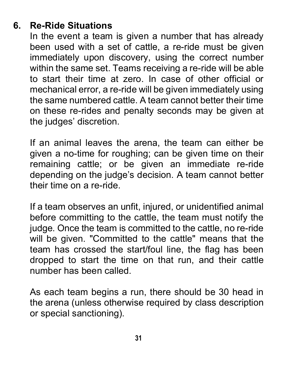## **6. Re-Ride Situations**

In the event a team is given a number that has already been used with a set of cattle, a re-ride must be given immediately upon discovery, using the correct number within the same set. Teams receiving a re-ride will be able to start their time at zero. In case of other official or mechanical error, a re-ride will be given immediately using the same numbered cattle. A team cannot better their time on these re-rides and penalty seconds may be given at the judges' discretion.

If an animal leaves the arena, the team can either be given a no-time for roughing; can be given time on their remaining cattle; or be given an immediate re-ride depending on the judge's decision. A team cannot better their time on a re-ride.

If a team observes an unfit, injured, or unidentified animal before committing to the cattle, the team must notify the judge. Once the team is committed to the cattle, no re-ride will be given. "Committed to the cattle" means that the team has crossed the start/foul line, the flag has been dropped to start the time on that run, and their cattle number has been called.

As each team begins a run, there should be 30 head in the arena (unless otherwise required by class description or special sanctioning).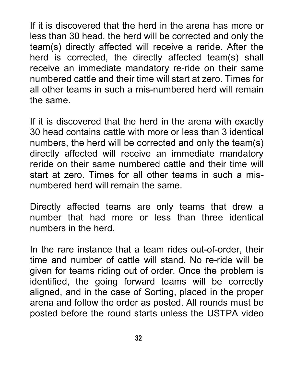If it is discovered that the herd in the arena has more or less than 30 head, the herd will be corrected and only the team(s) directly affected will receive a reride. After the herd is corrected, the directly affected team(s) shall receive an immediate mandatory re-ride on their same numbered cattle and their time will start at zero. Times for all other teams in such a mis-numbered herd will remain the same.

If it is discovered that the herd in the arena with exactly 30 head contains cattle with more or less than 3 identical numbers, the herd will be corrected and only the team(s) directly affected will receive an immediate mandatory reride on their same numbered cattle and their time will start at zero. Times for all other teams in such a misnumbered herd will remain the same.

Directly affected teams are only teams that drew a number that had more or less than three identical numbers in the herd.

In the rare instance that a team rides out-of-order, their time and number of cattle will stand. No re-ride will be given for teams riding out of order. Once the problem is identified, the going forward teams will be correctly aligned, and in the case of Sorting, placed in the proper arena and follow the order as posted. All rounds must be posted before the round starts unless the USTPA video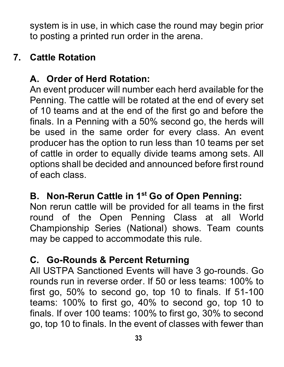system is in use, in which case the round may begin prior to posting a printed run order in the arena.

### **7. Cattle Rotation**

# **A. Order of Herd Rotation:**

An event producer will number each herd available for the Penning. The cattle will be rotated at the end of every set of 10 teams and at the end of the first go and before the finals. In a Penning with a 50% second go, the herds will be used in the same order for every class. An event producer has the option to run less than 10 teams per set of cattle in order to equally divide teams among sets. All options shall be decided and announced before first round of each class.

## **B. Non-Rerun Cattle in 1st Go of Open Penning:**

Non rerun cattle will be provided for all teams in the first round of the Open Penning Class at all World Championship Series (National) shows. Team counts may be capped to accommodate this rule.

#### **C. Go-Rounds & Percent Returning**

All USTPA Sanctioned Events will have 3 go-rounds. Go rounds run in reverse order. If 50 or less teams: 100% to first go, 50% to second go, top 10 to finals. If 51-100 teams: 100% to first go, 40% to second go, top 10 to finals. If over 100 teams: 100% to first go, 30% to second go, top 10 to finals. In the event of classes with fewer than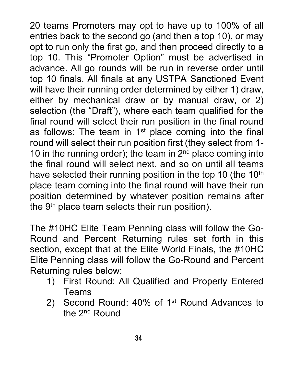20 teams Promoters may opt to have up to 100% of all entries back to the second go (and then a top 10), or may opt to run only the first go, and then proceed directly to a top 10. This "Promoter Option" must be advertised in advance. All go rounds will be run in reverse order until top 10 finals. All finals at any USTPA Sanctioned Event will have their running order determined by either 1) draw, either by mechanical draw or by manual draw, or 2) selection (the "Draft"), where each team qualified for the final round will select their run position in the final round as follows: The team in  $1<sup>st</sup>$  place coming into the final round will select their run position first (they select from 1- 10 in the running order); the team in  $2<sup>nd</sup>$  place coming into the final round will select next, and so on until all teams have selected their running position in the top 10 (the  $10<sup>th</sup>$ place team coming into the final round will have their run position determined by whatever position remains after the 9<sup>th</sup> place team selects their run position).

The #10HC Elite Team Penning class will follow the Go-Round and Percent Returning rules set forth in this section, except that at the Elite World Finals, the #10HC Elite Penning class will follow the Go-Round and Percent Returning rules below:

- 1) First Round: All Qualified and Properly Entered Teams
- 2) Second Round: 40% of 1st Round Advances to the 2nd Round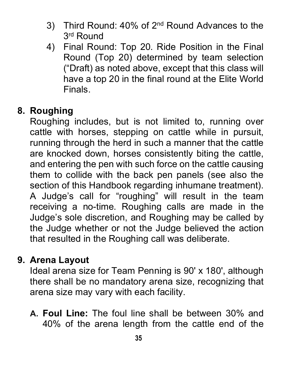- 3) Third Round: 40% of 2nd Round Advances to the 3rd Round
- 4) Final Round: Top 20. Ride Position in the Final Round (Top 20) determined by team selection ("Draft) as noted above, except that this class will have a top 20 in the final round at the Elite World Finals.

#### **8. Roughing**

Roughing includes, but is not limited to, running over cattle with horses, stepping on cattle while in pursuit, running through the herd in such a manner that the cattle are knocked down, horses consistently biting the cattle, and entering the pen with such force on the cattle causing them to collide with the back pen panels (see also the section of this Handbook regarding inhumane treatment). A Judge's call for "roughing" will result in the team receiving a no-time. Roughing calls are made in the Judge's sole discretion, and Roughing may be called by the Judge whether or not the Judge believed the action that resulted in the Roughing call was deliberate.

#### **9. Arena Layout**

Ideal arena size for Team Penning is 90' x 180', although there shall be no mandatory arena size, recognizing that arena size may vary with each facility.

**A. Foul Line:** The foul line shall be between 30% and 40% of the arena length from the cattle end of the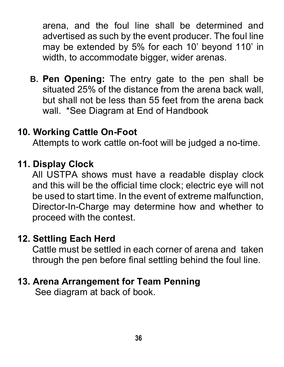arena, and the foul line shall be determined and advertised as such by the event producer. The foul line may be extended by 5% for each 10' beyond 110' in width, to accommodate bigger, wider arenas.

**B. Pen Opening:** The entry gate to the pen shall be situated 25% of the distance from the arena back wall, but shall not be less than 55 feet from the arena back wall. \*See Diagram at End of Handbook

#### **10. Working Cattle On-Foot**

Attempts to work cattle on-foot will be judged a no-time.

#### **11. Display Clock**

All USTPA shows must have a readable display clock and this will be the official time clock; electric eye will not be used to start time. In the event of extreme malfunction, Director-In-Charge may determine how and whether to proceed with the contest.

#### **12. Settling Each Herd**

Cattle must be settled in each corner of arena and taken through the pen before final settling behind the foul line.

#### **13. Arena Arrangement for Team Penning**

See diagram at back of book.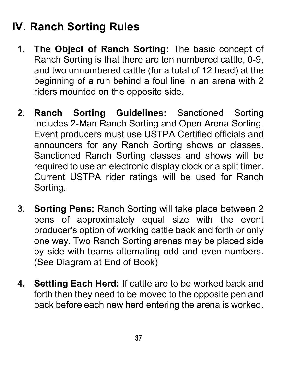# **IV. Ranch Sorting Rules**

- **1. The Object of Ranch Sorting:** The basic concept of Ranch Sorting is that there are ten numbered cattle, 0-9, and two unnumbered cattle (for a total of 12 head) at the beginning of a run behind a foul line in an arena with 2 riders mounted on the opposite side.
- **2. Ranch Sorting Guidelines:** Sanctioned Sorting includes 2-Man Ranch Sorting and Open Arena Sorting. Event producers must use USTPA Certified officials and announcers for any Ranch Sorting shows or classes. Sanctioned Ranch Sorting classes and shows will be required to use an electronic display clock or a split timer. Current USTPA rider ratings will be used for Ranch Sorting.
- **3. Sorting Pens:** Ranch Sorting will take place between 2 pens of approximately equal size with the event producer's option of working cattle back and forth or only one way. Two Ranch Sorting arenas may be placed side by side with teams alternating odd and even numbers. (See Diagram at End of Book)
- **4. Settling Each Herd:** If cattle are to be worked back and forth then they need to be moved to the opposite pen and back before each new herd entering the arena is worked.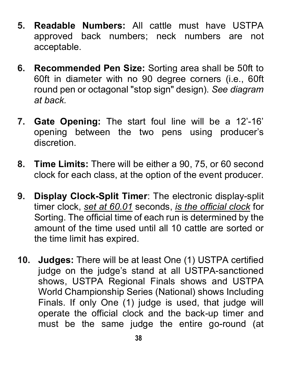- **5. Readable Numbers:** All cattle must have USTPA approved back numbers; neck numbers are not acceptable.
- **6. Recommended Pen Size:** Sorting area shall be 50ft to 60ft in diameter with no 90 degree corners (i.e., 60ft round pen or octagonal "stop sign" design). *See diagram at back.*
- **7. Gate Opening:** The start foul line will be a 12'-16' opening between the two pens using producer's discretion.
- **8. Time Limits:** There will be either a 90, 75, or 60 second clock for each class, at the option of the event producer.
- **9. Display Clock-Split Timer**: The electronic display-split timer clock, *set at 60.01* seconds, *is the official clock* for Sorting. The official time of each run is determined by the amount of the time used until all 10 cattle are sorted or the time limit has expired.
- **10. Judges:** There will be at least One (1) USTPA certified judge on the judge's stand at all USTPA-sanctioned shows, USTPA Regional Finals shows and USTPA World Championship Series (National) shows Including Finals. If only One (1) judge is used, that judge will operate the official clock and the back-up timer and must be the same judge the entire go-round (at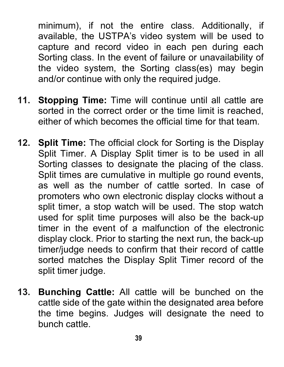minimum), if not the entire class. Additionally, if available, the USTPA's video system will be used to capture and record video in each pen during each Sorting class. In the event of failure or unavailability of the video system, the Sorting class(es) may begin and/or continue with only the required judge.

- **11. Stopping Time:** Time will continue until all cattle are sorted in the correct order or the time limit is reached, either of which becomes the official time for that team.
- **12. Split Time:** The official clock for Sorting is the Display Split Timer. A Display Split timer is to be used in all Sorting classes to designate the placing of the class. Split times are cumulative in multiple go round events, as well as the number of cattle sorted. In case of promoters who own electronic display clocks without a split timer, a stop watch will be used. The stop watch used for split time purposes will also be the back-up timer in the event of a malfunction of the electronic display clock. Prior to starting the next run, the back-up timer/judge needs to confirm that their record of cattle sorted matches the Display Split Timer record of the split timer judge.
- **13. Bunching Cattle:** All cattle will be bunched on the cattle side of the gate within the designated area before the time begins. Judges will designate the need to bunch cattle.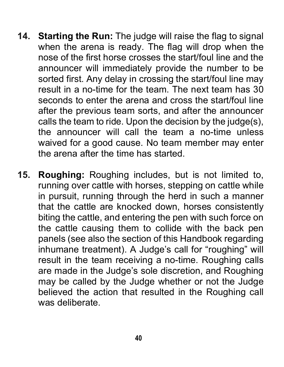- **14. Starting the Run:** The judge will raise the flag to signal when the arena is ready. The flag will drop when the nose of the first horse crosses the start/foul line and the announcer will immediately provide the number to be sorted first. Any delay in crossing the start/foul line may result in a no-time for the team. The next team has 30 seconds to enter the arena and cross the start/foul line after the previous team sorts, and after the announcer calls the team to ride. Upon the decision by the judge(s), the announcer will call the team a no-time unless waived for a good cause. No team member may enter the arena after the time has started.
- **15. Roughing:** Roughing includes, but is not limited to, running over cattle with horses, stepping on cattle while in pursuit, running through the herd in such a manner that the cattle are knocked down, horses consistently biting the cattle, and entering the pen with such force on the cattle causing them to collide with the back pen panels (see also the section of this Handbook regarding inhumane treatment). A Judge's call for "roughing" will result in the team receiving a no-time. Roughing calls are made in the Judge's sole discretion, and Roughing may be called by the Judge whether or not the Judge believed the action that resulted in the Roughing call was deliberate.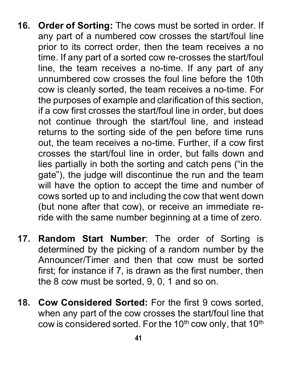- **16. Order of Sorting:** The cows must be sorted in order. If any part of a numbered cow crosses the start/foul line prior to its correct order, then the team receives a no time. If any part of a sorted cow re-crosses the start/foul line, the team receives a no-time. If any part of any unnumbered cow crosses the foul line before the 10th cow is cleanly sorted, the team receives a no-time. For the purposes of example and clarification of this section, if a cow first crosses the start/foul line in order, but does not continue through the start/foul line, and instead returns to the sorting side of the pen before time runs out, the team receives a no-time. Further, if a cow first crosses the start/foul line in order, but falls down and lies partially in both the sorting and catch pens ("in the gate"), the judge will discontinue the run and the team will have the option to accept the time and number of cows sorted up to and including the cow that went down (but none after that cow), or receive an immediate reride with the same number beginning at a time of zero.
- **17. Random Start Number**: The order of Sorting is determined by the picking of a random number by the Announcer/Timer and then that cow must be sorted first; for instance if 7, is drawn as the first number, then the 8 cow must be sorted, 9, 0, 1 and so on.
- **18. Cow Considered Sorted:** For the first 9 cows sorted, when any part of the cow crosses the start/foul line that cow is considered sorted. For the 10<sup>th</sup> cow only, that 10<sup>th</sup>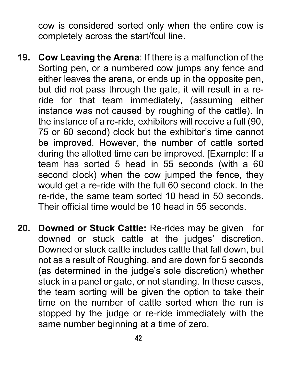cow is considered sorted only when the entire cow is completely across the start/foul line.

- **19. Cow Leaving the Arena**: If there is a malfunction of the Sorting pen, or a numbered cow jumps any fence and either leaves the arena, or ends up in the opposite pen, but did not pass through the gate, it will result in a reride for that team immediately, (assuming either instance was not caused by roughing of the cattle). In the instance of a re-ride, exhibitors will receive a full (90, 75 or 60 second) clock but the exhibitor's time cannot be improved. However, the number of cattle sorted during the allotted time can be improved. [Example: If a team has sorted 5 head in 55 seconds (with a 60 second clock) when the cow jumped the fence, they would get a re-ride with the full 60 second clock. In the re-ride, the same team sorted 10 head in 50 seconds. Their official time would be 10 head in 55 seconds.
- **20. Downed or Stuck Cattle:** Re-rides may be given for downed or stuck cattle at the judges' discretion. Downed or stuck cattle includes cattle that fall down, but not as a result of Roughing, and are down for 5 seconds (as determined in the judge's sole discretion) whether stuck in a panel or gate, or not standing. In these cases, the team sorting will be given the option to take their time on the number of cattle sorted when the run is stopped by the judge or re-ride immediately with the same number beginning at a time of zero.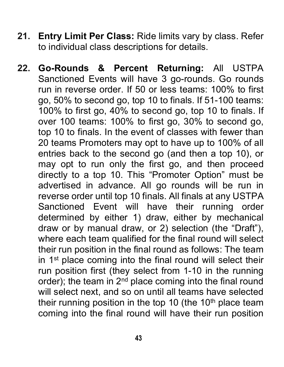- **21. Entry Limit Per Class:** Ride limits vary by class. Refer to individual class descriptions for details.
- **22. Go-Rounds & Percent Returning:** All USTPA Sanctioned Events will have 3 go-rounds. Go rounds run in reverse order. If 50 or less teams: 100% to first go, 50% to second go, top 10 to finals. If 51-100 teams: 100% to first go, 40% to second go, top 10 to finals. If over 100 teams: 100% to first go, 30% to second go, top 10 to finals. In the event of classes with fewer than 20 teams Promoters may opt to have up to 100% of all entries back to the second go (and then a top 10), or may opt to run only the first go, and then proceed directly to a top 10. This "Promoter Option" must be advertised in advance. All go rounds will be run in reverse order until top 10 finals. All finals at any USTPA Sanctioned Event will have their running order determined by either 1) draw, either by mechanical draw or by manual draw, or 2) selection (the "Draft"), where each team qualified for the final round will select their run position in the final round as follows: The team in 1<sup>st</sup> place coming into the final round will select their run position first (they select from 1-10 in the running order); the team in  $2<sup>nd</sup>$  place coming into the final round will select next, and so on until all teams have selected their running position in the top 10 (the  $10<sup>th</sup>$  place team coming into the final round will have their run position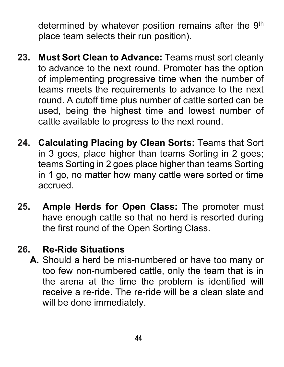determined by whatever position remains after the 9<sup>th</sup> place team selects their run position).

- **23. Must Sort Clean to Advance:** Teams must sort cleanly to advance to the next round. Promoter has the option of implementing progressive time when the number of teams meets the requirements to advance to the next round. A cutoff time plus number of cattle sorted can be used, being the highest time and lowest number of cattle available to progress to the next round.
- **24. Calculating Placing by Clean Sorts:** Teams that Sort in 3 goes, place higher than teams Sorting in 2 goes; teams Sorting in 2 goes place higher than teams Sorting in 1 go, no matter how many cattle were sorted or time accrued.
- **25. Ample Herds for Open Class:** The promoter must have enough cattle so that no herd is resorted during the first round of the Open Sorting Class.

# **26. Re-Ride Situations**

**A.** Should a herd be mis-numbered or have too many or too few non-numbered cattle, only the team that is in the arena at the time the problem is identified will receive a re-ride. The re-ride will be a clean slate and will be done immediately.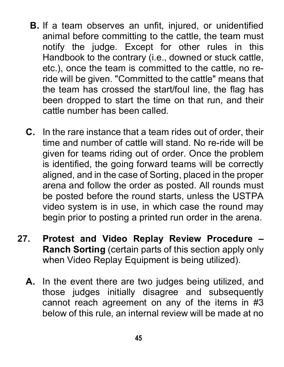- **B.** If a team observes an unfit, injured, or unidentified animal before committing to the cattle, the team must notify the judge. Except for other rules in this Handbook to the contrary (i.e., downed or stuck cattle, etc.), once the team is committed to the cattle, no reride will be given. "Committed to the cattle" means that the team has crossed the start/foul line, the flag has been dropped to start the time on that run, and their cattle number has been called.
- **C.** In the rare instance that a team rides out of order, their time and number of cattle will stand. No re-ride will be given for teams riding out of order. Once the problem is identified, the going forward teams will be correctly aligned, and in the case of Sorting, placed in the proper arena and follow the order as posted. All rounds must be posted before the round starts, unless the USTPA video system is in use, in which case the round may begin prior to posting a printed run order in the arena.
- **27. Protest and Video Replay Review Procedure – Ranch Sorting** (certain parts of this section apply only when Video Replay Equipment is being utilized).
	- **A.** In the event there are two judges being utilized, and those judges initially disagree and subsequently cannot reach agreement on any of the items in #3 below of this rule, an internal review will be made at no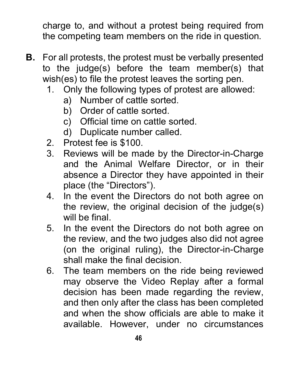charge to, and without a protest being required from the competing team members on the ride in question.

- **B.** For all protests, the protest must be verbally presented to the judge(s) before the team member(s) that wish(es) to file the protest leaves the sorting pen.
	- 1. Only the following types of protest are allowed:
		- a) Number of cattle sorted.
		- b) Order of cattle sorted.
		- c) Official time on cattle sorted.
		- d) Duplicate number called.
	- 2. Protest fee is \$100.<br>3. Reviews will be ma
	- Reviews will be made by the Director-in-Charge and the Animal Welfare Director, or in their absence a Director they have appointed in their place (the "Directors").
	- 4. In the event the Directors do not both agree on the review, the original decision of the judge(s) will he final
	- 5. In the event the Directors do not both agree on the review, and the two judges also did not agree (on the original ruling), the Director-in-Charge shall make the final decision.
	- 6. The team members on the ride being reviewed may observe the Video Replay after a formal decision has been made regarding the review, and then only after the class has been completed and when the show officials are able to make it available. However, under no circumstances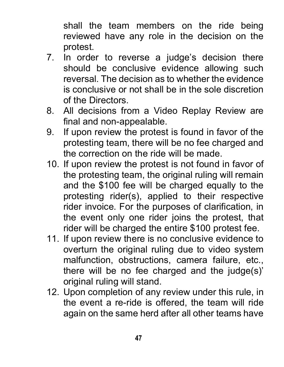shall the team members on the ride being reviewed have any role in the decision on the protest.

- 7. In order to reverse a judge's decision there should be conclusive evidence allowing such reversal. The decision as to whether the evidence is conclusive or not shall be in the sole discretion of the Directors.
- 8. All decisions from a Video Replay Review are final and non-appealable.
- 9. If upon review the protest is found in favor of the protesting team, there will be no fee charged and the correction on the ride will be made.
- 10. If upon review the protest is not found in favor of the protesting team, the original ruling will remain and the \$100 fee will be charged equally to the protesting rider(s), applied to their respective rider invoice. For the purposes of clarification, in the event only one rider joins the protest, that rider will be charged the entire \$100 protest fee.
- 11. If upon review there is no conclusive evidence to overturn the original ruling due to video system malfunction, obstructions, camera failure, etc., there will be no fee charged and the judge(s)' original ruling will stand.
- 12. Upon completion of any review under this rule, in the event a re-ride is offered, the team will ride again on the same herd after all other teams have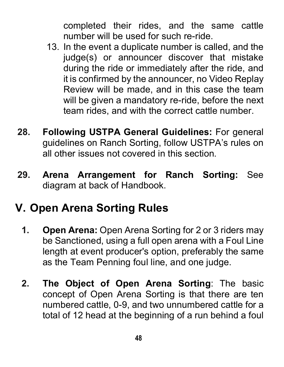completed their rides, and the same cattle number will be used for such re-ride.

- 13. In the event a duplicate number is called, and the judge(s) or announcer discover that mistake during the ride or immediately after the ride, and it is confirmed by the announcer, no Video Replay Review will be made, and in this case the team will be given a mandatory re-ride, before the next team rides, and with the correct cattle number.
- **28. Following USTPA General Guidelines:** For general guidelines on Ranch Sorting, follow USTPA's rules on all other issues not covered in this section.
- **29. Arena Arrangement for Ranch Sorting:** See diagram at back of Handbook.

# **V. Open Arena Sorting Rules**

- **1. Open Arena:** Open Arena Sorting for 2 or 3 riders may be Sanctioned, using a full open arena with a Foul Line length at event producer's option, preferably the same as the Team Penning foul line, and one judge.
- **2. The Object of Open Arena Sorting**: The basic concept of Open Arena Sorting is that there are ten numbered cattle, 0-9, and two unnumbered cattle for a total of 12 head at the beginning of a run behind a foul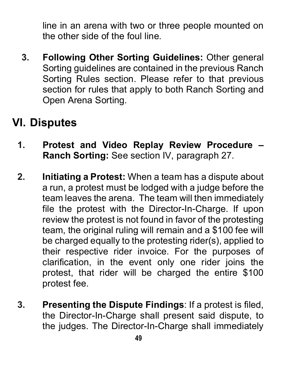line in an arena with two or three people mounted on the other side of the foul line.

**3. Following Other Sorting Guidelines:** Other general Sorting guidelines are contained in the previous Ranch Sorting Rules section. Please refer to that previous section for rules that apply to both Ranch Sorting and Open Arena Sorting.

# **VI. Disputes**

- **1. Protest and Video Replay Review Procedure – Ranch Sorting:** See section IV, paragraph 27.
- **2. Initiating a Protest:** When a team has a dispute about a run, a protest must be lodged with a judge before the team leaves the arena. The team will then immediately file the protest with the Director-In-Charge. If upon review the protest is not found in favor of the protesting team, the original ruling will remain and a \$100 fee will be charged equally to the protesting rider(s), applied to their respective rider invoice. For the purposes of clarification, in the event only one rider joins the protest, that rider will be charged the entire \$100 protest fee.
- **3. Presenting the Dispute Findings**: If a protest is filed, the Director-In-Charge shall present said dispute, to the judges. The Director-In-Charge shall immediately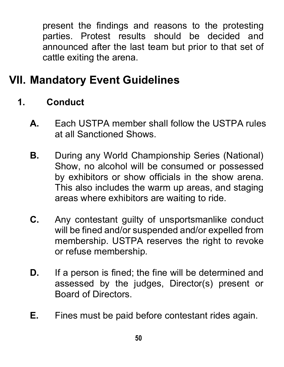present the findings and reasons to the protesting parties. Protest results should be decided and announced after the last team but prior to that set of cattle exiting the arena.

# **VII. Mandatory Event Guidelines**

- **1. Conduct** 
	- **A.** Each USTPA member shall follow the USTPA rules at all Sanctioned Shows.
	- **B.** During any World Championship Series (National) Show, no alcohol will be consumed or possessed by exhibitors or show officials in the show arena. This also includes the warm up areas, and staging areas where exhibitors are waiting to ride.
	- **C.** Any contestant guilty of unsportsmanlike conduct will be fined and/or suspended and/or expelled from membership. USTPA reserves the right to revoke or refuse membership.
	- **D.** If a person is fined; the fine will be determined and assessed by the judges, Director(s) present or Board of Directors.
	- **E.** Fines must be paid before contestant rides again.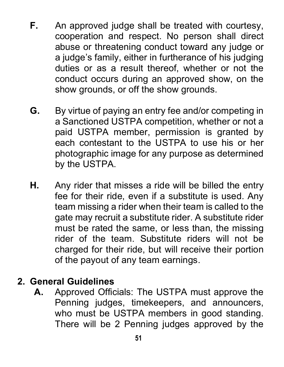- **F.** An approved judge shall be treated with courtesy, cooperation and respect. No person shall direct abuse or threatening conduct toward any judge or a judge's family, either in furtherance of his judging duties or as a result thereof, whether or not the conduct occurs during an approved show, on the show grounds, or off the show grounds.
- **G.** By virtue of paying an entry fee and/or competing in a Sanctioned USTPA competition, whether or not a paid USTPA member, permission is granted by each contestant to the USTPA to use his or her photographic image for any purpose as determined by the USTPA.
- **H.** Any rider that misses a ride will be billed the entry fee for their ride, even if a substitute is used. Any team missing a rider when their team is called to the gate may recruit a substitute rider. A substitute rider must be rated the same, or less than, the missing rider of the team. Substitute riders will not be charged for their ride, but will receive their portion of the payout of any team earnings.

## **2. General Guidelines**

**A.** Approved Officials: The USTPA must approve the Penning judges, timekeepers, and announcers, who must be USTPA members in good standing. There will be 2 Penning judges approved by the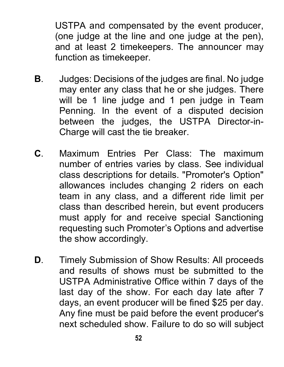USTPA and compensated by the event producer, (one judge at the line and one judge at the pen), and at least 2 timekeepers. The announcer may function as timekeeper.

- **B**. Judges: Decisions of the judges are final. No judge may enter any class that he or she judges. There will be 1 line judge and 1 pen judge in Team Penning. In the event of a disputed decision between the judges, the USTPA Director-in-Charge will cast the tie breaker.
- **C**. Maximum Entries Per Class: The maximum number of entries varies by class. See individual class descriptions for details. "Promoter's Option" allowances includes changing 2 riders on each team in any class, and a different ride limit per class than described herein, but event producers must apply for and receive special Sanctioning requesting such Promoter's Options and advertise the show accordingly.
- **D**. Timely Submission of Show Results: All proceeds and results of shows must be submitted to the USTPA Administrative Office within 7 days of the last day of the show. For each day late after 7 days, an event producer will be fined \$25 per day. Any fine must be paid before the event producer's next scheduled show. Failure to do so will subject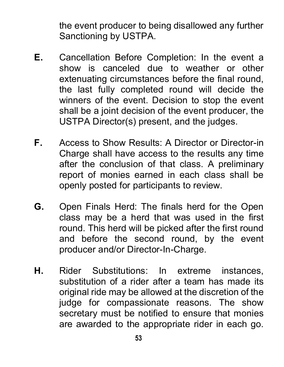the event producer to being disallowed any further Sanctioning by USTPA.

- **E.** Cancellation Before Completion: In the event a show is canceled due to weather or other extenuating circumstances before the final round, the last fully completed round will decide the winners of the event. Decision to stop the event shall be a joint decision of the event producer, the USTPA Director(s) present, and the judges.
- **F.** Access to Show Results: A Director or Director-in Charge shall have access to the results any time after the conclusion of that class. A preliminary report of monies earned in each class shall be openly posted for participants to review.
- **G.** Open Finals Herd: The finals herd for the Open class may be a herd that was used in the first round. This herd will be picked after the first round and before the second round, by the event producer and/or Director-In-Charge.
- **H.** Rider Substitutions: In extreme instances, substitution of a rider after a team has made its original ride may be allowed at the discretion of the judge for compassionate reasons. The show secretary must be notified to ensure that monies are awarded to the appropriate rider in each go.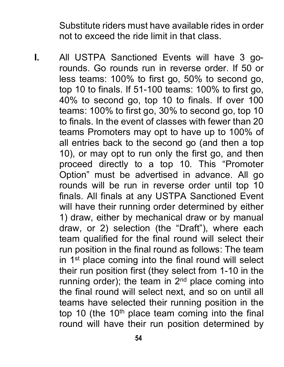Substitute riders must have available rides in order not to exceed the ride limit in that class.

**I.** All USTPA Sanctioned Events will have 3 gorounds. Go rounds run in reverse order. If 50 or less teams: 100% to first go, 50% to second go, top 10 to finals. If 51-100 teams: 100% to first go, 40% to second go, top 10 to finals. If over 100 teams: 100% to first go, 30% to second go, top 10 to finals. In the event of classes with fewer than 20 teams Promoters may opt to have up to 100% of all entries back to the second go (and then a top 10), or may opt to run only the first go, and then proceed directly to a top 10. This "Promoter Option" must be advertised in advance. All go rounds will be run in reverse order until top 10 finals. All finals at any USTPA Sanctioned Event will have their running order determined by either 1) draw, either by mechanical draw or by manual draw, or 2) selection (the "Draft"), where each team qualified for the final round will select their run position in the final round as follows: The team in  $1<sup>st</sup>$  place coming into the final round will select their run position first (they select from 1-10 in the running order); the team in  $2<sup>nd</sup>$  place coming into the final round will select next, and so on until all teams have selected their running position in the top 10 (the  $10<sup>th</sup>$  place team coming into the final round will have their run position determined by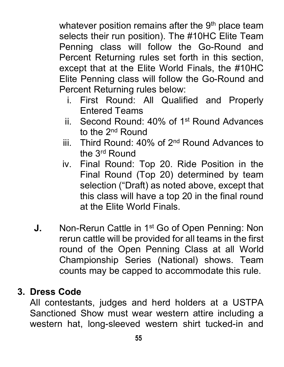whatever position remains after the  $9<sup>th</sup>$  place team selects their run position). The #10HC Elite Team Penning class will follow the Go-Round and Percent Returning rules set forth in this section, except that at the Elite World Finals, the #10HC Elite Penning class will follow the Go-Round and Percent Returning rules below:

- i. First Round: All Qualified and Properly Entered Teams
- ii. Second Round: 40% of 1st Round Advances to the 2<sup>nd</sup> Round
- iii. Third Round: 40% of 2nd Round Advances to the 3rd Round
- iv. Final Round: Top 20. Ride Position in the Final Round (Top 20) determined by team selection ("Draft) as noted above, except that this class will have a top 20 in the final round at the Elite World Finals.
- **J.** Non-Rerun Cattle in 1<sup>st</sup> Go of Open Penning: Non rerun cattle will be provided for all teams in the first round of the Open Penning Class at all World Championship Series (National) shows. Team counts may be capped to accommodate this rule.

#### **3. Dress Code**

All contestants, judges and herd holders at a USTPA Sanctioned Show must wear western attire including a western hat, long-sleeved western shirt tucked-in and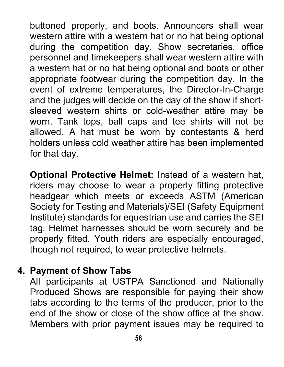buttoned properly, and boots. Announcers shall wear western attire with a western hat or no hat being optional during the competition day. Show secretaries, office personnel and timekeepers shall wear western attire with a western hat or no hat being optional and boots or other appropriate footwear during the competition day. In the event of extreme temperatures, the Director-In-Charge and the judges will decide on the day of the show if shortsleeved western shirts or cold-weather attire may be worn. Tank tops, ball caps and tee shirts will not be allowed. A hat must be worn by contestants & herd holders unless cold weather attire has been implemented for that day.

**Optional Protective Helmet:** Instead of a western hat, riders may choose to wear a properly fitting protective headgear which meets or exceeds ASTM (American Society for Testing and Materials)/SEI (Safety Equipment Institute) standards for equestrian use and carries the SEI tag. Helmet harnesses should be worn securely and be properly fitted. Youth riders are especially encouraged, though not required, to wear protective helmets.

## **4. Payment of Show Tabs**

All participants at USTPA Sanctioned and Nationally Produced Shows are responsible for paying their show tabs according to the terms of the producer, prior to the end of the show or close of the show office at the show. Members with prior payment issues may be required to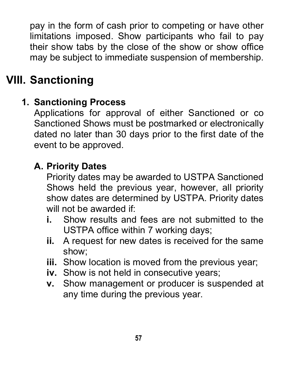pay in the form of cash prior to competing or have other limitations imposed. Show participants who fail to pay their show tabs by the close of the show or show office may be subject to immediate suspension of membership.

# **VIII. Sanctioning**

# **1. Sanctioning Process**

Applications for approval of either Sanctioned or co Sanctioned Shows must be postmarked or electronically dated no later than 30 days prior to the first date of the event to be approved.

# **A. Priority Dates**

Priority dates may be awarded to USTPA Sanctioned Shows held the previous year, however, all priority show dates are determined by USTPA. Priority dates will not be awarded if:

- **i.** Show results and fees are not submitted to the USTPA office within 7 working days;
- **ii.** A request for new dates is received for the same show;
- **iii.** Show location is moved from the previous year;
- **iv.** Show is not held in consecutive years;
- **v.** Show management or producer is suspended at any time during the previous year.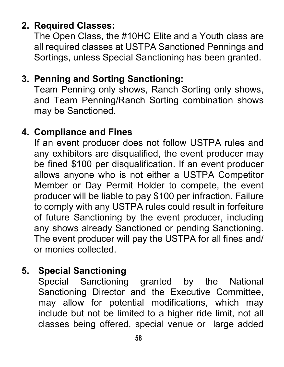# **2. Required Classes:**

The Open Class, the #10HC Elite and a Youth class are all required classes at USTPA Sanctioned Pennings and Sortings, unless Special Sanctioning has been granted.

## **3. Penning and Sorting Sanctioning:**

Team Penning only shows, Ranch Sorting only shows, and Team Penning/Ranch Sorting combination shows may be Sanctioned.

## **4. Compliance and Fines**

If an event producer does not follow USTPA rules and any exhibitors are disqualified, the event producer may be fined \$100 per disqualification. If an event producer allows anyone who is not either a USTPA Competitor Member or Day Permit Holder to compete, the event producer will be liable to pay \$100 per infraction. Failure to comply with any USTPA rules could result in forfeiture of future Sanctioning by the event producer, including any shows already Sanctioned or pending Sanctioning. The event producer will pay the USTPA for all fines and/ or monies collected.

# **5. Special Sanctioning**

Special Sanctioning granted by the National Sanctioning Director and the Executive Committee, may allow for potential modifications, which may include but not be limited to a higher ride limit, not all classes being offered, special venue or large added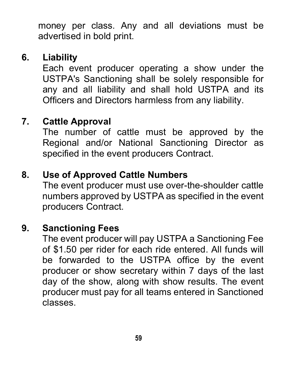money per class. Any and all deviations must be advertised in bold print.

# **6. Liability**

Each event producer operating a show under the USTPA's Sanctioning shall be solely responsible for any and all liability and shall hold USTPA and its Officers and Directors harmless from any liability.

# **7. Cattle Approval**

The number of cattle must be approved by the Regional and/or National Sanctioning Director as specified in the event producers Contract.

## **8. Use of Approved Cattle Numbers**

The event producer must use over-the-shoulder cattle numbers approved by USTPA as specified in the event producers Contract.

## **9. Sanctioning Fees**

The event producer will pay USTPA a Sanctioning Fee of \$1.50 per rider for each ride entered. All funds will be forwarded to the USTPA office by the event producer or show secretary within 7 days of the last day of the show, along with show results. The event producer must pay for all teams entered in Sanctioned classes.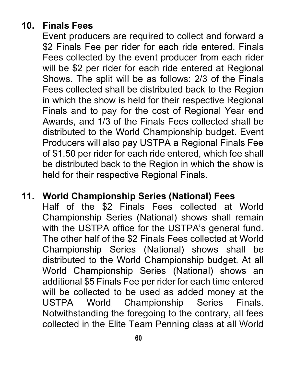# **10. Finals Fees**

Event producers are required to collect and forward a \$2 Finals Fee per rider for each ride entered. Finals Fees collected by the event producer from each rider will be \$2 per rider for each ride entered at Regional Shows. The split will be as follows: 2/3 of the Finals Fees collected shall be distributed back to the Region in which the show is held for their respective Regional Finals and to pay for the cost of Regional Year end Awards, and 1/3 of the Finals Fees collected shall be distributed to the World Championship budget. Event Producers will also pay USTPA a Regional Finals Fee of \$1.50 per rider for each ride entered, which fee shall be distributed back to the Region in which the show is held for their respective Regional Finals.

#### **11. World Championship Series (National) Fees**

Half of the \$2 Finals Fees collected at World Championship Series (National) shows shall remain with the USTPA office for the USTPA's general fund. The other half of the \$2 Finals Fees collected at World Championship Series (National) shows shall be distributed to the World Championship budget. At all World Championship Series (National) shows an additional \$5 Finals Fee per rider for each time entered will be collected to be used as added money at the USTPA World Championship Series Finals. Notwithstanding the foregoing to the contrary, all fees collected in the Elite Team Penning class at all World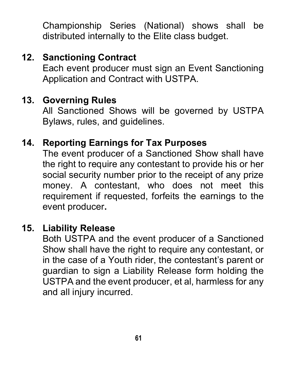Championship Series (National) shows shall be distributed internally to the Elite class budget.

# **12. Sanctioning Contract**

Each event producer must sign an Event Sanctioning Application and Contract with USTPA.

## **13. Governing Rules**

All Sanctioned Shows will be governed by USTPA Bylaws, rules, and guidelines.

## **14. Reporting Earnings for Tax Purposes**

The event producer of a Sanctioned Show shall have the right to require any contestant to provide his or her social security number prior to the receipt of any prize money. A contestant, who does not meet this requirement if requested, forfeits the earnings to the event producer**.** 

#### **15. Liability Release**

Both USTPA and the event producer of a Sanctioned Show shall have the right to require any contestant, or in the case of a Youth rider, the contestant's parent or guardian to sign a Liability Release form holding the USTPA and the event producer, et al, harmless for any and all injury incurred.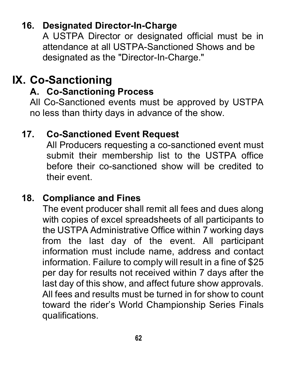# **16. Designated Director-In-Charge**

A USTPA Director or designated official must be in attendance at all USTPA-Sanctioned Shows and be designated as the "Director-In-Charge."

# **IX. Co-Sanctioning**

# **A. Co-Sanctioning Process**

All Co-Sanctioned events must be approved by USTPA no less than thirty days in advance of the show.

## **17. Co-Sanctioned Event Request**

All Producers requesting a co-sanctioned event must submit their membership list to the USTPA office before their co-sanctioned show will be credited to their event.

## **18. Compliance and Fines**

The event producer shall remit all fees and dues along with copies of excel spreadsheets of all participants to the USTPA Administrative Office within 7 working days from the last day of the event. All participant information must include name, address and contact information. Failure to comply will result in a fine of \$25 per day for results not received within 7 days after the last day of this show, and affect future show approvals. All fees and results must be turned in for show to count toward the rider's World Championship Series Finals qualifications.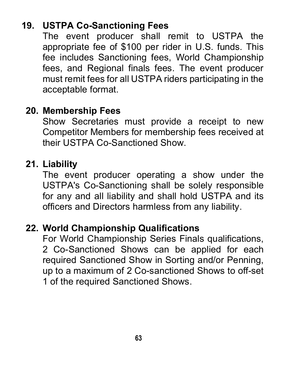# **19. USTPA Co-Sanctioning Fees**

The event producer shall remit to USTPA the appropriate fee of \$100 per rider in U.S. funds. This fee includes Sanctioning fees, World Championship fees, and Regional finals fees. The event producer must remit fees for all USTPA riders participating in the acceptable format.

## **20. Membership Fees**

Show Secretaries must provide a receipt to new Competitor Members for membership fees received at their USTPA Co-Sanctioned Show.

## **21. Liability**

The event producer operating a show under the USTPA's Co-Sanctioning shall be solely responsible for any and all liability and shall hold USTPA and its officers and Directors harmless from any liability.

## **22. World Championship Qualifications**

For World Championship Series Finals qualifications, 2 Co-Sanctioned Shows can be applied for each required Sanctioned Show in Sorting and/or Penning, up to a maximum of 2 Co-sanctioned Shows to off-set 1 of the required Sanctioned Shows.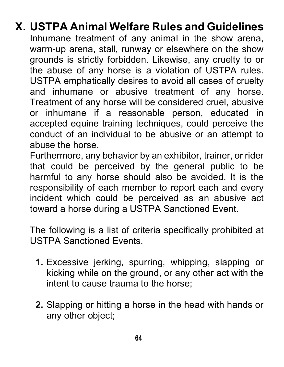## **X. USTPA Animal Welfare Rules and Guidelines**  Inhumane treatment of any animal in the show arena, warm-up arena, stall, runway or elsewhere on the show grounds is strictly forbidden. Likewise, any cruelty to or the abuse of any horse is a violation of USTPA rules. USTPA emphatically desires to avoid all cases of cruelty and inhumane or abusive treatment of any horse. Treatment of any horse will be considered cruel, abusive or inhumane if a reasonable person, educated in accepted equine training techniques, could perceive the conduct of an individual to be abusive or an attempt to abuse the horse.

Furthermore, any behavior by an exhibitor, trainer, or rider that could be perceived by the general public to be harmful to any horse should also be avoided. It is the responsibility of each member to report each and every incident which could be perceived as an abusive act toward a horse during a USTPA Sanctioned Event.

The following is a list of criteria specifically prohibited at USTPA Sanctioned Events.

- **1.** Excessive jerking, spurring, whipping, slapping or kicking while on the ground, or any other act with the intent to cause trauma to the horse;
- **2.** Slapping or hitting a horse in the head with hands or any other object;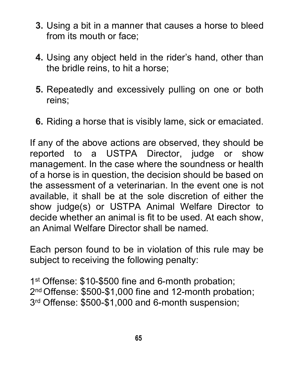- **3.** Using a bit in a manner that causes a horse to bleed from its mouth or face;
- **4.** Using any object held in the rider's hand, other than the bridle reins, to hit a horse;
- **5.** Repeatedly and excessively pulling on one or both reins;
- **6.** Riding a horse that is visibly lame, sick or emaciated.

If any of the above actions are observed, they should be reported to a USTPA Director, judge or show management. In the case where the soundness or health of a horse is in question, the decision should be based on the assessment of a veterinarian. In the event one is not available, it shall be at the sole discretion of either the show judge(s) or USTPA Animal Welfare Director to decide whether an animal is fit to be used. At each show, an Animal Welfare Director shall be named.

Each person found to be in violation of this rule may be subject to receiving the following penalty:

1<sup>st</sup> Offense: \$10-\$500 fine and 6-month probation; 2<sup>nd</sup> Offense: \$500-\$1,000 fine and 12-month probation; 3<sup>rd</sup> Offense: \$500-\$1,000 and 6-month suspension: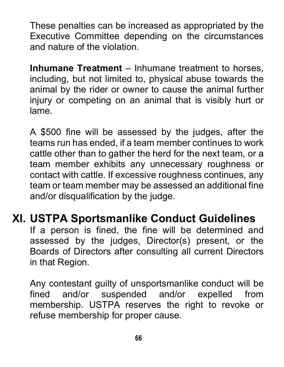These penalties can be increased as appropriated by the Executive Committee depending on the circumstances and nature of the violation.

**Inhumane Treatment** – Inhumane treatment to horses, including, but not limited to, physical abuse towards the animal by the rider or owner to cause the animal further injury or competing on an animal that is visibly hurt or lame.

A \$500 fine will be assessed by the judges, after the teams run has ended, if a team member continues to work cattle other than to gather the herd for the next team, or a team member exhibits any unnecessary roughness or contact with cattle. If excessive roughness continues, any team or team member may be assessed an additional fine and/or disqualification by the judge.

# **XI. USTPA Sportsmanlike Conduct Guidelines**

If a person is fined, the fine will be determined and assessed by the judges, Director(s) present, or the Boards of Directors after consulting all current Directors in that Region.

Any contestant guilty of unsportsmanlike conduct will be fined and/or suspended and/or expelled from membership. USTPA reserves the right to revoke or refuse membership for proper cause.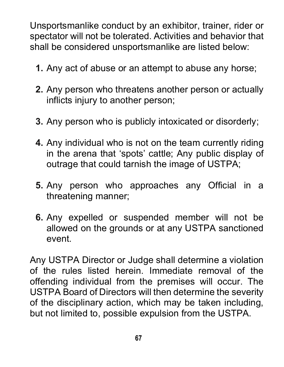Unsportsmanlike conduct by an exhibitor, trainer, rider or spectator will not be tolerated. Activities and behavior that shall be considered unsportsmanlike are listed below:

- **1.** Any act of abuse or an attempt to abuse any horse;
- **2.** Any person who threatens another person or actually inflicts injury to another person;
- **3.** Any person who is publicly intoxicated or disorderly;
- **4.** Any individual who is not on the team currently riding in the arena that 'spots' cattle; Any public display of outrage that could tarnish the image of USTPA;
- **5.** Any person who approaches any Official in a threatening manner;
- **6.** Any expelled or suspended member will not be allowed on the grounds or at any USTPA sanctioned event.

Any USTPA Director or Judge shall determine a violation of the rules listed herein. Immediate removal of the offending individual from the premises will occur. The USTPA Board of Directors will then determine the severity of the disciplinary action, which may be taken including, but not limited to, possible expulsion from the USTPA.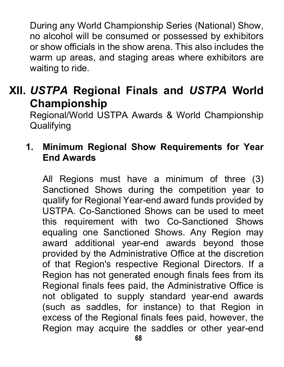During any World Championship Series (National) Show, no alcohol will be consumed or possessed by exhibitors or show officials in the show arena. This also includes the warm up areas, and staging areas where exhibitors are waiting to ride.

# **XII.** *USTPA* **Regional Finals and** *USTPA* **World Championship**

Regional/World USTPA Awards & World Championship **Qualifying** 

## **1. Minimum Regional Show Requirements for Year End Awards**

All Regions must have a minimum of three (3) Sanctioned Shows during the competition year to qualify for Regional Year-end award funds provided by USTPA. Co-Sanctioned Shows can be used to meet this requirement with two Co-Sanctioned Shows equaling one Sanctioned Shows. Any Region may award additional year-end awards beyond those provided by the Administrative Office at the discretion of that Region's respective Regional Directors. If a Region has not generated enough finals fees from its Regional finals fees paid, the Administrative Office is not obligated to supply standard year-end awards (such as saddles, for instance) to that Region in excess of the Regional finals fees paid, however, the Region may acquire the saddles or other year-end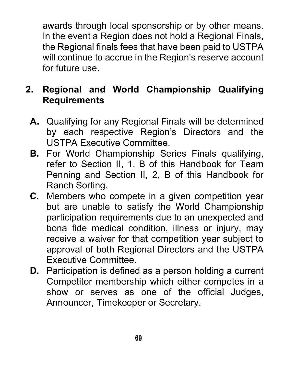awards through local sponsorship or by other means. In the event a Region does not hold a Regional Finals, the Regional finals fees that have been paid to USTPA will continue to accrue in the Region's reserve account for future use.

# **2. Regional and World Championship Qualifying Requirements**

- **A.** Qualifying for any Regional Finals will be determined by each respective Region's Directors and the USTPA Executive Committee.
- **B.** For World Championship Series Finals qualifying, refer to Section II, 1, B of this Handbook for Team Penning and Section II, 2, B of this Handbook for Ranch Sorting.
- **C.** Members who compete in a given competition year but are unable to satisfy the World Championship participation requirements due to an unexpected and bona fide medical condition, illness or injury, may receive a waiver for that competition year subject to approval of both Regional Directors and the USTPA Executive Committee.
- **D.** Participation is defined as a person holding a current Competitor membership which either competes in a show or serves as one of the official Judges, Announcer, Timekeeper or Secretary.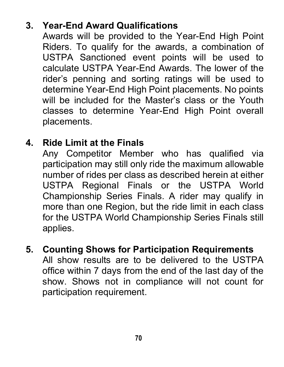# **3. Year-End Award Qualifications**

Awards will be provided to the Year-End High Point Riders. To qualify for the awards, a combination of USTPA Sanctioned event points will be used to calculate USTPA Year-End Awards. The lower of the rider's penning and sorting ratings will be used to determine Year-End High Point placements. No points will be included for the Master's class or the Youth classes to determine Year-End High Point overall placements.

# **4. Ride Limit at the Finals**

Any Competitor Member who has qualified via participation may still only ride the maximum allowable number of rides per class as described herein at either USTPA Regional Finals or the USTPA World Championship Series Finals. A rider may qualify in more than one Region, but the ride limit in each class for the USTPA World Championship Series Finals still applies.

**5. Counting Shows for Participation Requirements**  All show results are to be delivered to the USTPA office within 7 days from the end of the last day of the show. Shows not in compliance will not count for participation requirement.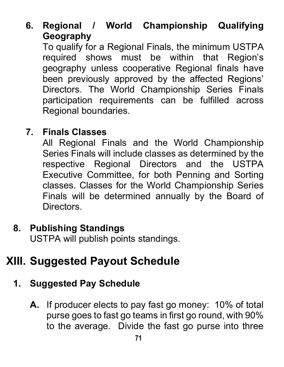**6. Regional / World Championship Qualifying Geography**

To qualify for a Regional Finals, the minimum USTPA required shows must be within that Region's geography unless cooperative Regional finals have been previously approved by the affected Regions' Directors. The World Championship Series Finals participation requirements can be fulfilled across Regional boundaries.

## **7. Finals Classes**

All Regional Finals and the World Championship Series Finals will include classes as determined by the respective Regional Directors and the USTPA Executive Committee, for both Penning and Sorting classes. Classes for the World Championship Series Finals will be determined annually by the Board of **Directors** 

# **8. Publishing Standings**

USTPA will publish points standings.

# **XIII. Suggested Payout Schedule**

# **1. Suggested Pay Schedule**

**A.** If producer elects to pay fast go money: 10% of total purse goes to fast go teams in first go round, with 90% to the average. Divide the fast go purse into three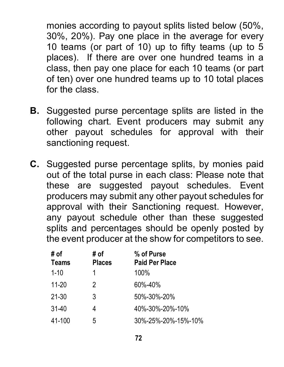monies according to payout splits listed below (50%, 30%, 20%). Pay one place in the average for every 10 teams (or part of 10) up to fifty teams (up to 5 places). If there are over one hundred teams in a class, then pay one place for each 10 teams (or part of ten) over one hundred teams up to 10 total places for the class.

- **B.** Suggested purse percentage splits are listed in the following chart. Event producers may submit any other payout schedules for approval with their sanctioning request.
- **C.** Suggested purse percentage splits, by monies paid out of the total purse in each class: Please note that these are suggested payout schedules. Event producers may submit any other payout schedules for approval with their Sanctioning request. However, any payout schedule other than these suggested splits and percentages should be openly posted by the event producer at the show for competitors to see.

| # of<br><b>Teams</b> | # of<br><b>Places</b> | % of Purse<br><b>Paid Per Place</b> |
|----------------------|-----------------------|-------------------------------------|
| $1 - 10$             | 1                     | 100%                                |
| $11 - 20$            | 2                     | 60%-40%                             |
| 21-30                | 3                     | 50%-30%-20%                         |
| $31-40$              | 4                     | 40%-30%-20%-10%                     |
| 41-100               | 5                     | 30%-25%-20%-15%-10%                 |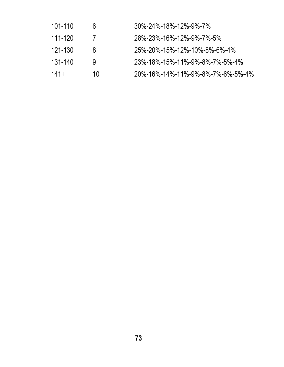| 101-110 | 6  | $30\% - 24\% - 18\% - 12\% - 9\% - 7\%$ |
|---------|----|-----------------------------------------|
| 111-120 |    | 28%-23%-16%-12%-9%-7%-5%                |
| 121-130 | 8  | 25%-20%-15%-12%-10%-8%-6%-4%            |
| 131-140 | g  | 23%-18%-15%-11%-9%-8%-7%-5%-4%          |
| $141+$  | 10 | 20%-16%-14%-11%-9%-8%-7%-6%-5%-4%       |
|         |    |                                         |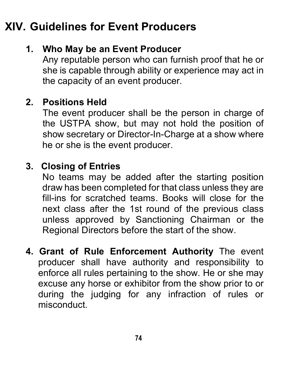# **XIV. Guidelines for Event Producers**

## **1. Who May be an Event Producer**

Any reputable person who can furnish proof that he or she is capable through ability or experience may act in the capacity of an event producer.

#### **2. Positions Held**

The event producer shall be the person in charge of the USTPA show, but may not hold the position of show secretary or Director-In-Charge at a show where he or she is the event producer.

#### **3. Closing of Entries**

No teams may be added after the starting position draw has been completed for that class unless they are fill-ins for scratched teams. Books will close for the next class after the 1st round of the previous class unless approved by Sanctioning Chairman or the Regional Directors before the start of the show.

**4. Grant of Rule Enforcement Authority** The event producer shall have authority and responsibility to enforce all rules pertaining to the show. He or she may excuse any horse or exhibitor from the show prior to or during the judging for any infraction of rules or misconduct.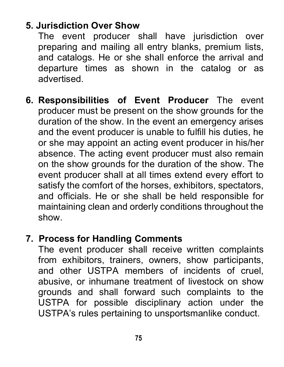### **5. Jurisdiction Over Show**

The event producer shall have jurisdiction over preparing and mailing all entry blanks, premium lists, and catalogs. He or she shall enforce the arrival and departure times as shown in the catalog or as advertised.

**6. Responsibilities of Event Producer** The event producer must be present on the show grounds for the duration of the show. In the event an emergency arises and the event producer is unable to fulfill his duties, he or she may appoint an acting event producer in his/her absence. The acting event producer must also remain on the show grounds for the duration of the show. The event producer shall at all times extend every effort to satisfy the comfort of the horses, exhibitors, spectators, and officials. He or she shall be held responsible for maintaining clean and orderly conditions throughout the show.

## **7. Process for Handling Comments**

The event producer shall receive written complaints from exhibitors, trainers, owners, show participants, and other USTPA members of incidents of cruel, abusive, or inhumane treatment of livestock on show grounds and shall forward such complaints to the USTPA for possible disciplinary action under the USTPA's rules pertaining to unsportsmanlike conduct.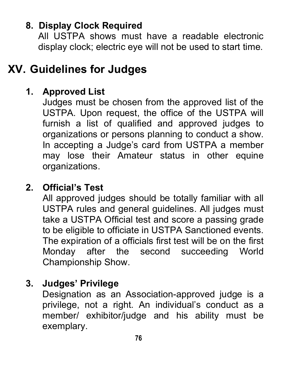## **8. Display Clock Required**

All USTPA shows must have a readable electronic display clock; electric eye will not be used to start time.

# **XV. Guidelines for Judges**

#### **1. Approved List**

Judges must be chosen from the approved list of the USTPA. Upon request, the office of the USTPA will furnish a list of qualified and approved judges to organizations or persons planning to conduct a show. In accepting a Judge's card from USTPA a member may lose their Amateur status in other equine organizations.

#### **2. Official's Test**

All approved judges should be totally familiar with all USTPA rules and general guidelines. All judges must take a USTPA Official test and score a passing grade to be eligible to officiate in USTPA Sanctioned events. The expiration of a officials first test will be on the first Monday after the second succeeding World Championship Show.

### **3. Judges' Privilege**

Designation as an Association-approved judge is a privilege, not a right. An individual's conduct as a member/ exhibitor/judge and his ability must be exemplary.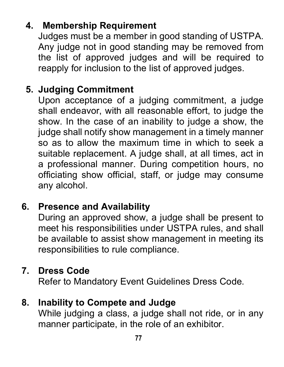# **4. Membership Requirement**

Judges must be a member in good standing of USTPA. Any judge not in good standing may be removed from the list of approved judges and will be required to reapply for inclusion to the list of approved judges.

### **5. Judging Commitment**

Upon acceptance of a judging commitment, a judge shall endeavor, with all reasonable effort, to judge the show. In the case of an inability to judge a show, the judge shall notify show management in a timely manner so as to allow the maximum time in which to seek a suitable replacement. A judge shall, at all times, act in a professional manner. During competition hours, no officiating show official, staff, or judge may consume any alcohol.

## **6. Presence and Availability**

During an approved show, a judge shall be present to meet his responsibilities under USTPA rules, and shall be available to assist show management in meeting its responsibilities to rule compliance.

### **7. Dress Code**

Refer to Mandatory Event Guidelines Dress Code.

#### **8. Inability to Compete and Judge**

While judging a class, a judge shall not ride, or in any manner participate, in the role of an exhibitor.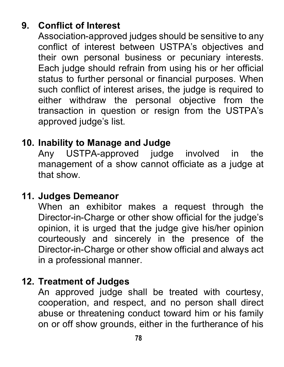# **9. Conflict of Interest**

Association-approved judges should be sensitive to any conflict of interest between USTPA's objectives and their own personal business or pecuniary interests. Each judge should refrain from using his or her official status to further personal or financial purposes. When such conflict of interest arises, the judge is required to either withdraw the personal objective from the transaction in question or resign from the USTPA's approved judge's list.

#### **10. Inability to Manage and Judge**

Any USTPA-approved judge involved in the management of a show cannot officiate as a judge at that show.

#### **11. Judges Demeanor**

When an exhibitor makes a request through the Director-in-Charge or other show official for the judge's opinion, it is urged that the judge give his/her opinion courteously and sincerely in the presence of the Director-in-Charge or other show official and always act in a professional manner.

#### **12. Treatment of Judges**

An approved judge shall be treated with courtesy, cooperation, and respect, and no person shall direct abuse or threatening conduct toward him or his family on or off show grounds, either in the furtherance of his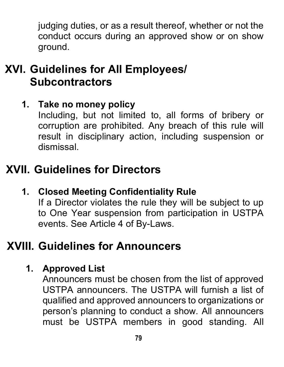judging duties, or as a result thereof, whether or not the conduct occurs during an approved show or on show ground.

# **XVI. Guidelines for All Employees/ Subcontractors**

## **1. Take no money policy**

Including, but not limited to, all forms of bribery or corruption are prohibited. Any breach of this rule will result in disciplinary action, including suspension or dismissal.

# **XVII. Guidelines for Directors**

**1. Closed Meeting Confidentiality Rule**

If a Director violates the rule they will be subject to up to One Year suspension from participation in USTPA events. See Article 4 of By-Laws.

# **XVIII. Guidelines for Announcers**

## **1. Approved List**

Announcers must be chosen from the list of approved USTPA announcers. The USTPA will furnish a list of qualified and approved announcers to organizations or person's planning to conduct a show. All announcers must be USTPA members in good standing. All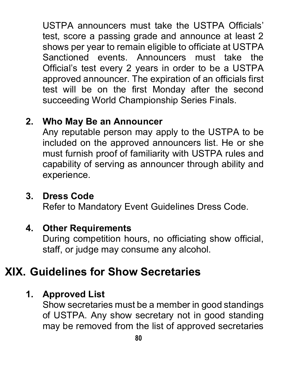USTPA announcers must take the USTPA Officials' test, score a passing grade and announce at least 2 shows per year to remain eligible to officiate at USTPA Sanctioned events. Announcers must take the Official's test every 2 years in order to be a USTPA approved announcer. The expiration of an officials first test will be on the first Monday after the second succeeding World Championship Series Finals.

## **2. Who May Be an Announcer**

Any reputable person may apply to the USTPA to be included on the approved announcers list. He or she must furnish proof of familiarity with USTPA rules and capability of serving as announcer through ability and experience.

### **3. Dress Code**

Refer to Mandatory Event Guidelines Dress Code.

#### **4. Other Requirements**

During competition hours, no officiating show official, staff, or judge may consume any alcohol.

# **XIX. Guidelines for Show Secretaries**

#### **1. Approved List**

Show secretaries must be a member in good standings of USTPA. Any show secretary not in good standing may be removed from the list of approved secretaries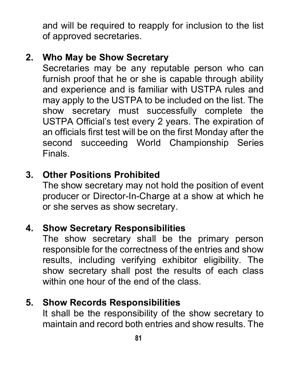and will be required to reapply for inclusion to the list of approved secretaries.

### **2. Who May be Show Secretary**

Secretaries may be any reputable person who can furnish proof that he or she is capable through ability and experience and is familiar with USTPA rules and may apply to the USTPA to be included on the list. The show secretary must successfully complete the USTPA Official's test every 2 years. The expiration of an officials first test will be on the first Monday after the second succeeding World Championship Series Finals.

#### **3. Other Positions Prohibited**

The show secretary may not hold the position of event producer or Director-In-Charge at a show at which he or she serves as show secretary.

#### **4. Show Secretary Responsibilities**

The show secretary shall be the primary person responsible for the correctness of the entries and show results, including verifying exhibitor eligibility. The show secretary shall post the results of each class within one hour of the end of the class.

### **5. Show Records Responsibilities**

It shall be the responsibility of the show secretary to maintain and record both entries and show results. The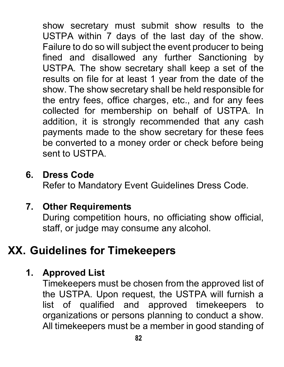show secretary must submit show results to the USTPA within 7 days of the last day of the show. Failure to do so will subject the event producer to being fined and disallowed any further Sanctioning by USTPA. The show secretary shall keep a set of the results on file for at least 1 year from the date of the show. The show secretary shall be held responsible for the entry fees, office charges, etc., and for any fees collected for membership on behalf of USTPA. In addition, it is strongly recommended that any cash payments made to the show secretary for these fees be converted to a money order or check before being sent to USTPA.

#### **6. Dress Code**

Refer to Mandatory Event Guidelines Dress Code.

#### **7. Other Requirements**

During competition hours, no officiating show official, staff, or judge may consume any alcohol.

# **XX. Guidelines for Timekeepers**

### **1. Approved List**

Timekeepers must be chosen from the approved list of the USTPA. Upon request, the USTPA will furnish a list of qualified and approved timekeepers to organizations or persons planning to conduct a show. All timekeepers must be a member in good standing of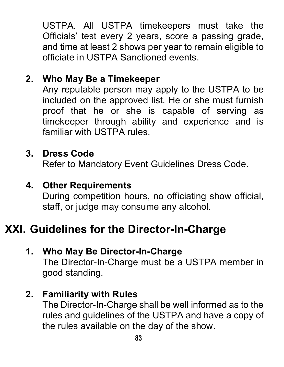USTPA. All USTPA timekeepers must take the Officials' test every 2 years, score a passing grade, and time at least 2 shows per year to remain eligible to officiate in USTPA Sanctioned events.

#### **2. Who May Be a Timekeeper**

Any reputable person may apply to the USTPA to be included on the approved list. He or she must furnish proof that he or she is capable of serving as timekeeper through ability and experience and is familiar with USTPA rules.

#### **3. Dress Code**

Refer to Mandatory Event Guidelines Dress Code.

#### **4. Other Requirements**

During competition hours, no officiating show official, staff, or judge may consume any alcohol.

# **XXI. Guidelines for the Director-In-Charge**

#### **1. Who May Be Director-In-Charge**

The Director-In-Charge must be a USTPA member in good standing.

#### **2. Familiarity with Rules**

The Director-In-Charge shall be well informed as to the rules and guidelines of the USTPA and have a copy of the rules available on the day of the show.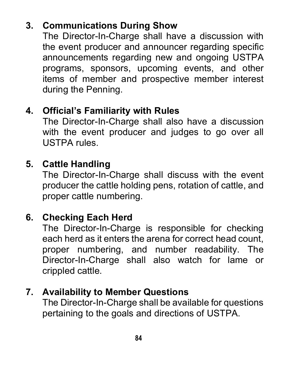# **3. Communications During Show**

The Director-In-Charge shall have a discussion with the event producer and announcer regarding specific announcements regarding new and ongoing USTPA programs, sponsors, upcoming events, and other items of member and prospective member interest during the Penning.

#### **4. Official's Familiarity with Rules**

The Director-In-Charge shall also have a discussion with the event producer and judges to go over all USTPA rules.

#### **5. Cattle Handling**

The Director-In-Charge shall discuss with the event producer the cattle holding pens, rotation of cattle, and proper cattle numbering.

## **6. Checking Each Herd**

The Director-In-Charge is responsible for checking each herd as it enters the arena for correct head count, proper numbering, and number readability. The Director-In-Charge shall also watch for lame or crippled cattle.

#### **7. Availability to Member Questions**

The Director-In-Charge shall be available for questions pertaining to the goals and directions of USTPA.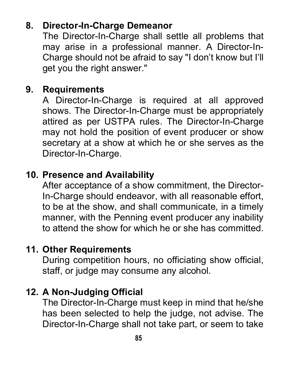### **8. Director-In-Charge Demeanor**

The Director-In-Charge shall settle all problems that may arise in a professional manner. A Director-In-Charge should not be afraid to say "I don't know but I'll get you the right answer."

#### **9. Requirements**

A Director-In-Charge is required at all approved shows. The Director-In-Charge must be appropriately attired as per USTPA rules. The Director-In-Charge may not hold the position of event producer or show secretary at a show at which he or she serves as the Director-In-Charge.

#### **10. Presence and Availability**

After acceptance of a show commitment, the Director-In-Charge should endeavor, with all reasonable effort, to be at the show, and shall communicate, in a timely manner, with the Penning event producer any inability to attend the show for which he or she has committed.

#### **11. Other Requirements**

During competition hours, no officiating show official, staff, or judge may consume any alcohol.

#### **12. A Non-Judging Official**

The Director-In-Charge must keep in mind that he/she has been selected to help the judge, not advise. The Director-In-Charge shall not take part, or seem to take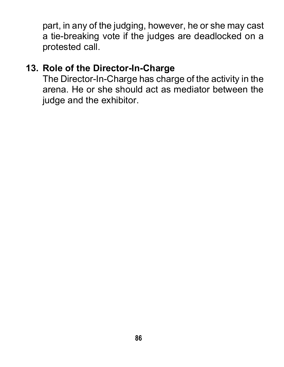part, in any of the judging, however, he or she may cast a tie-breaking vote if the judges are deadlocked on a protested call.

#### **13. Role of the Director-In-Charge**

The Director-In-Charge has charge of the activity in the arena. He or she should act as mediator between the judge and the exhibitor.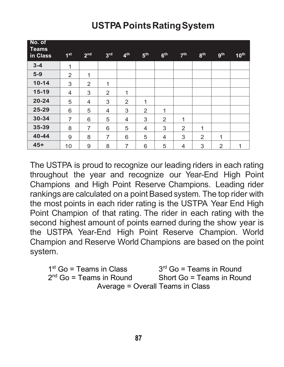| No. of<br>Teams<br>in Class | 1 <sup>st</sup> | 2 <sub>nd</sub> | 3 <sup>rd</sup> | 4 <sup>th</sup> | 5 <sup>th</sup>          | 6 <sup>th</sup> | 7 <sup>th</sup> | 8 <sup>th</sup> | <b>gth</b>     | 10 <sup>th</sup> |
|-----------------------------|-----------------|-----------------|-----------------|-----------------|--------------------------|-----------------|-----------------|-----------------|----------------|------------------|
| $3 - 4$                     | $\mathbf{1}$    |                 |                 |                 |                          |                 |                 |                 |                |                  |
| $5-9$                       | $\overline{2}$  | 1               |                 |                 |                          |                 |                 |                 |                |                  |
| $10 - 14$                   | 3               | $\overline{2}$  | 1               |                 |                          |                 |                 |                 |                |                  |
| $15 - 19$                   | $\overline{4}$  | 3               | $\overline{2}$  | 1               |                          |                 |                 |                 |                |                  |
| $20 - 24$                   | 5               | 4               | 3               | $\overline{2}$  | 1                        |                 |                 |                 |                |                  |
| $25 - 29$                   | 6               | 5               | 4               | 3               | $\overline{2}$           | 1               |                 |                 |                |                  |
| 30-34                       | $\overline{7}$  | 6               | 5               | $\overline{4}$  | 3                        | $\overline{2}$  | $\mathbf{1}$    |                 |                |                  |
| 35-39                       | 8               | $\overline{7}$  | 6               | 5               | $\overline{\mathcal{A}}$ | 3               | $\overline{2}$  | 1               |                |                  |
| $40 - 44$                   | 9               | 8               | 7               | 6               | 5                        | 4               | 3               | $\overline{2}$  | 1              |                  |
| $45+$                       | 10              | 9               | 8               | $\overline{7}$  | 6                        | 5               | 4               | 3               | $\overline{2}$ | 1                |

# **USTPA PointsRatingSystem**

The USTPA is proud to recognize our leading riders in each rating throughout the year and recognize our Year-End High Point Champions and High Point Reserve Champions. Leading rider rankings are calculated on a point Based system. The top rider with the most points in each rider rating is the USTPA Year End High Point Champion of that rating. The rider in each rating with the second highest amount of points earned during the show year is the USTPA Year-End High Point Reserve Champion. World Champion and Reserve World Champions are based on the point system.

 $1<sup>st</sup>$  Go = Teams in Class  $3<sup>rd</sup>$  Go = Teams in Round 2<sup>nd</sup> Go = Teams in Round Short Go = Teams in Round Average = Overall Teams in Class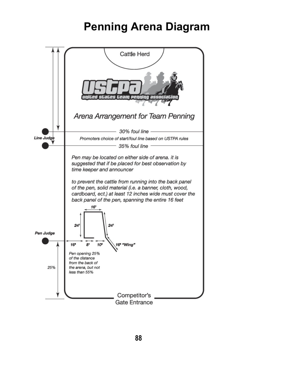# **Penning Arena Diagram**

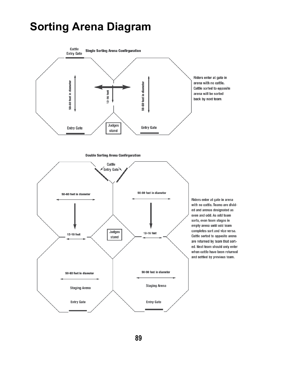# **Sorting Arena Diagram**



**89**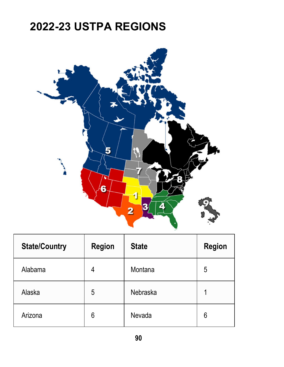# **2022-23 USTPA REGIONS**



| <b>State/Country</b> | Region | <b>State</b> | Region |
|----------------------|--------|--------------|--------|
| Alabama              | 4      | Montana      | 5      |
| Alaska               | 5      | Nebraska     |        |
| Arizona              | 6      | Nevada       | 6      |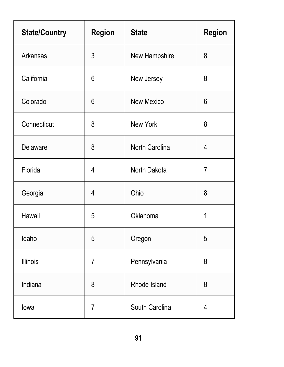| <b>State/Country</b> | Region | <b>State</b>   | Region         |
|----------------------|--------|----------------|----------------|
| Arkansas             | 3      | New Hampshire  | 8              |
| California           | 6      | New Jersey     | 8              |
| Colorado             | 6      | New Mexico     | 6              |
| Connecticut          | 8      | New York       | 8              |
| Delaware             | 8      | North Carolina | 4              |
| Florida              | 4      | North Dakota   | $\overline{7}$ |
| Georgia              | 4      | Ohio           | 8              |
| Hawaii               | 5      | Oklahoma       | 1              |
| Idaho                | 5      | Oregon         | 5              |
| Illinois             | 7      | Pennsylvania   | 8              |
| Indiana              | 8      | Rhode Island   | 8              |
| lowa                 | 7      | South Carolina | 4              |